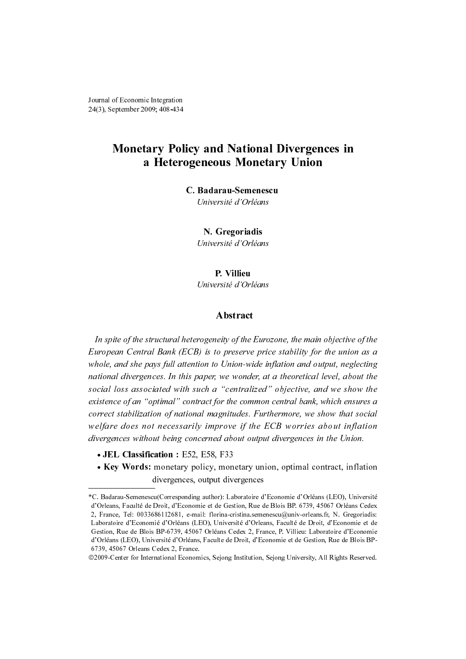# Monetary Policy and National Divergences in a Heterogeneous Monetary Union

### C. Badarau-Semenescu

Université d'Orléans

N. Gregoriadis

Université d'Orléans

## P. Villieu

Université d'Orléans

## Abstract

**C. Badarau-Semenescu**<br>
Université d'Orléans<br> **N. Gregoriadis**<br>
Université d'Orléans<br> **P. Villieu**<br>
Université d'Orléans<br> **Abstract**<br>
eterogeneily of the Eurozo,<br>
CEB) is to preserve price<br>
(CEB) is to preserve price<br>
(CEB **Example 18 Transfer Control**<br> **P. Villieu**<br> **P. Villieu**<br> **Abstract**<br> **Abstract**<br> **Abstract**<br> **geneity of the Eu**<br>
is to preserve p.<br>
is to preserve p.<br>
in to Union-wide<br>
per, we wonder,<br>
th a "centralize<br>
act for the com *ersité d'Or*<br> **Abstrac**<br> *eity of the<br>
to preserv<br>
<i>D* Union-w<br> *we wona*<br> *i* "*central*<br> *for the confinales.<br>
prove if t<br>
<i>ed about o*<br> *F33*<br>
monetary<br> *st diverger*<br>
or): Laborate<br>
de Gestion, I<br>
vrina-cristina<br>
Univ In spite of the structural heterogeneity of the Eurozone, the main objective of the European Central Bank (ECB) is to preserve price stability for the union as a whole, and she pays full attention to Union-wide inflation and output, neglecting national divergences. In this paper, we wonder, at a theoretical level, about the social loss associated with such a "centralized" objective, and we show the existence of an "optimal" contract for the common central bank, which ensures a correct stabilization of national magnitudes. Furthermore, we show that social welfare does not necessarily improve if the ECB worries about inflation divergences without being concerned about output divergences in the Union. Framed of Economic Integration<br>
3), September 2009; 408-434<br> **A Heterogeneous**<br> **C. Badarau-**<br> *Dinversité*<br> **C. Badarau-**<br> *Dinversité*<br> **N. Greg**<br> *C. Université*<br> **P. Vi**<br> *Dinversité*<br> **P. Vi**<br> *Dinversité*<br> **P. Vi**<br> Fiscansic Integration<br> **Monetary Policy and National Divergences in<br>
• A Heterogeneous Monetary Union**<br>
• C. Badarau-Semenseu<br>
• *C. Badarau-Semenseu<br>
• <i>C. Words: Cortions*<br>
• **N. Cregoriadis**<br>
• **P. Villieu**<br>
• *C. Creg* 

- JEL Classification: E52, E58, F33
- Key Words: monetary policy, monetary union, optimal contract, inflation divergences, output divergences

<sup>\*</sup>C. Badarau-Semenescu(Corresponding author): Laboratoire d'Economie d'Orléans (LEO), Université d'Orleans, Faculté de Droit, d'Economie et de Gestion, Rue de Blois BP. 6739, 45067 Orléans Cedex 2, France, Tel: 0033686112681, e-mail: florina-cristina.semenescu@univ-orleans.fr, N. Gregoriadis: Laboratoire d'Economié d'Orléans (LEO), Université d'Orleans, Faculté de Droit, d'Economie et de Gestion, Rue de Blois BP-6739, 45067 Orléans Cedex 2, France, P. Villieu: Laboratoire d'Economie d'Orléans (LEO), Université d'Orléans, Faculte de Droit, d'Economie et de Gestion, Rue de Blois BP-6739, 45067 Orleans Cedex 2, France.

<sup>©2009-</sup>Center for International Economics, Sejong Institution, Sejong University, All Rights Reserved.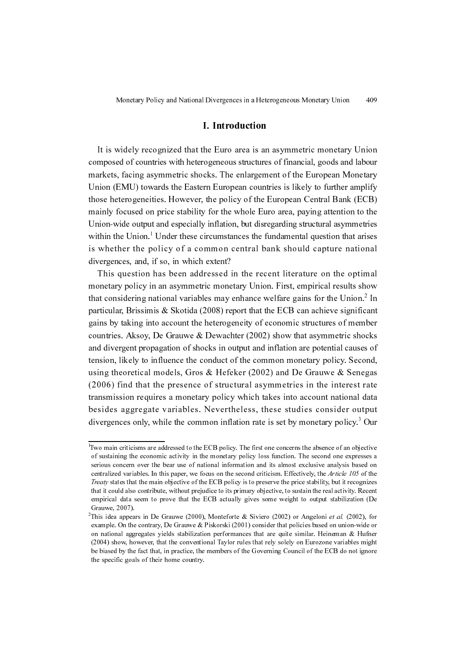## I. Introduction

It is widely recognized that the Euro area is an asymmetric monetary Union composed of countries with heterogeneous structures of financial, goods and labour markets, facing asymmetric shocks. The enlargement of the European Monetary Union (EMU) towards the Eastern European countries is likely to further amplify those heterogeneities. However, the policy of the European Central Bank (ECB) mainly focused on price stability for the whole Euro area, paying attention to the Union-wide output and especially inflation, but disregarding structural asymmetries within the Union.<sup>1</sup> Under these circumstances the fundamental question that arises is whether the policy of a common central bank should capture national divergences, and, if so, in which extent?

This question has been addressed in the recent literature on the optimal monetary policy in an asymmetric monetary Union. First, empirical results show that considering national variables may enhance welfare gains for the Union.<sup>2</sup> In particular, Brissimis & Skotida (2008) report that the ECB can achieve significant gains by taking into account the heterogeneity of economic structures of member countries. Aksoy, De Grauwe & Dewachter (2002) show that asymmetric shocks and divergent propagation of shocks in output and inflation are potential causes of tension, likely to influence the conduct of the common monetary policy. Second, using theoretical models, Gros & Hefeker (2002) and De Grauwe & Senegas (2006) find that the presence of structural asymmetries in the interest rate transmission requires a monetary policy which takes into account national data besides aggregate variables. Nevertheless, these studies consider output divergences only, while the common inflation rate is set by monetary policy.<sup>3</sup> Our

<sup>1</sup> Two main criticisms are addressed to the ECB policy. The first one concerns the absence of an objective of sustaining the economic activity in the monetary policy loss function. The second one expresses a serious concern over the bear use of national information and its almost exclusive analysis based on centralized variables. In this paper, we focus on the second criticism. Effectively, the Article 105 of the Treaty states that the main objective of the ECB policy is to preserve the price stability, but it recognizes that it could also contribute, without prejudice to its primary objective, to sustain the real activity. Recent empirical data seem to prove that the ECB actually gives some weight to output stabilization (De Grauwe, 2007).

<sup>&</sup>lt;sup>2</sup>This idea appears in De Grauwe (2000), Monteforte & Siviero (2002) or Angeloni *et al.* (2002), for example. On the contrary, De Grauwe & Piskorski (2001) consider that policies based on union-wide or on national aggregates yields stabilization performances that are quite similar. Heineman  $\&$  Hufner (2004) show, however, that the conventional Taylor rules that rely solely on Eurozone variables might be biased by the fact that, in practice, the members of the Governing Council of the ECB do not ignore the specific goals of their home country.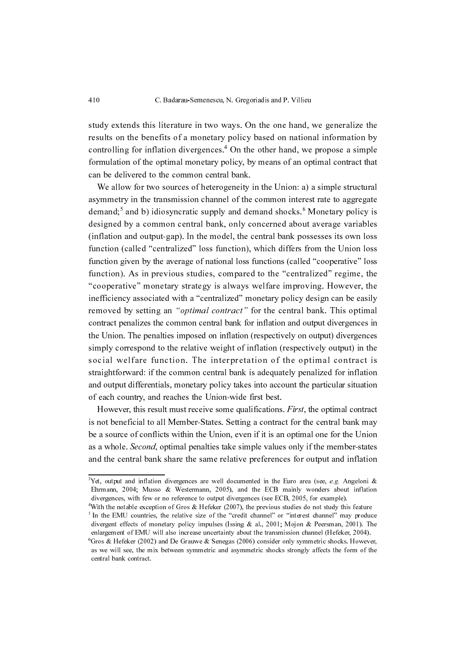study extends this literature in two ways. On the one hand, we generalize the results on the benefits of a monetary policy based on national information by controlling for inflation divergences.<sup>4</sup> On the other hand, we propose a simple formulation of the optimal monetary policy, by means of an optimal contract that can be delivered to the common central bank.

We allow for two sources of heterogeneity in the Union: a) a simple structural asymmetry in the transmission channel of the common interest rate to aggregate demand;<sup>5</sup> and b) idiosyncratic supply and demand shocks.<sup>6</sup> Monetary policy is designed by a common central bank, only concerned about average variables (inflation and output-gap). In the model, the central bank possesses its own loss function (called "centralized" loss function), which differs from the Union loss function given by the average of national loss functions (called "cooperative" loss function). As in previous studies, compared to the "centralized" regime, the "cooperative" monetary strategy is always welfare improving. However, the inefficiency associated with a "centralized" monetary policy design can be easily removed by setting an "*optimal contract*" for the central bank. This optimal contract penalizes the common central bank for inflation and output divergences in the Union. The penalties imposed on inflation (respectively on output) divergences simply correspond to the relative weight of inflation (respectively output) in the social welfare function. The interpretation of the optimal contract is straightforward: if the common central bank is adequately penalized for inflation and output differentials, monetary policy takes into account the particular situation of each country, and reaches the Union-wide first best.

However, this result must receive some qualifications. First, the optimal contract is not beneficial to all Member-States. Setting a contract for the central bank may be a source of conflicts within the Union, even if it is an optimal one for the Union as a whole. Second, optimal penalties take simple values only if the member-states and the central bank share the same relative preferences for output and inflation

<sup>&</sup>lt;sup>3</sup>Yet, output and inflation divergences are well documented in the Euro area (see, e.g. Angeloni & Ehrmann, 2004; Musso & Westermann, 2005), and the ECB mainly wonders about inflation divergences, with few or no reference to output divergences (see ECB, 2005, for example).

<sup>4</sup> With the notable exception of Gros & Hefeker (2007), the previous studies do not study this feature <sup>5</sup> In the EMU countries, the relative size of the "credit channel" or "interest channel" may produce divergent effects of monetary policy impulses (Issing & al., 2001; Mojon & Peersman, 2001). The enlargement of EMU will also increase uncertainty about the transmission channel (Hefeker, 2004).

<sup>&</sup>lt;sup>6</sup>Gros & Hefeker (2002) and De Grauwe & Senegas (2006) consider only symmetric shocks. However, as we will see, the mix between symmetric and asymmetric shocks strongly affects the form of the central bank contract.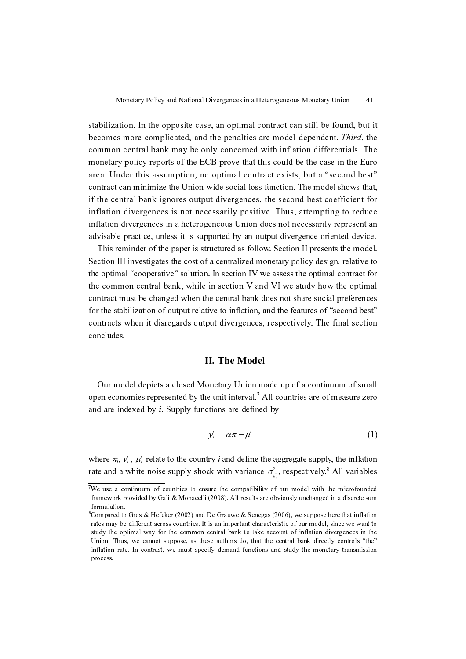stabilization. In the opposite case, an optimal contract can still be found, but it becomes more complicated, and the penalties are model-dependent. Third, the common central bank may be only concerned with inflation differentials. The monetary policy reports of the ECB prove that this could be the case in the Euro area. Under this assumption, no optimal contract exists, but a "second best" contract can minimize the Union-wide social loss function. The model shows that, if the central bank ignores output divergences, the second best coefficient for inflation divergences is not necessarily positive. Thus, attempting to reduce inflation divergences in a heterogeneous Union does not necessarily represent an advisable practice, unless it is supported by an output divergence-oriented device.

This reminder of the paper is structured as follow. Section II presents the model. Section III investigates the cost of a centralized monetary policy design, relative to the optimal "cooperative" solution. In section IV we assess the optimal contract for the common central bank, while in section V and VI we study how the optimal contract must be changed when the central bank does not share social preferences for the stabilization of output relative to inflation, and the features of "second best" contracts when it disregards output divergences, respectively. The final section concludes.

### II. The Model

Our model depicts a closed Monetary Union made up of a continuum of small open economies represented by the unit interval.7 All countries are of measure zero and are indexed by  $i$ . Supply functions are defined by:

$$
y_i^* = \alpha \pi_i + \mu_i^* \tag{1}
$$

where  $\pi_i$ ,  $y_i$ ,  $\mu_i^*$  relate to the country *i* and define the aggregate supply, the inflation rate and a white noise supply shock with variance  $\sigma_s$ , respectively.<sup>8</sup> All variables  $\mu_i$  $\sigma_{\mu_i^s}$ 

<sup>&</sup>lt;sup>7</sup>We use a continuum of countries to ensure the compatibility of our model with the microfounded framework provided by Gali & Monacelli (2008). All results are obviously unchanged in a discrete sum formulation.

 $^8$ Compared to Gros & Hefeker (2002) and De Grauwe & Senegas (2006), we suppose here that inflation rates may be different across countries. It is an important characteristic of our model, since we want to study the optimal way for the common central bank to take account of inflation divergences in the Union. Thus, we cannot suppose, as these authors do, that the central bank directly controls "the" inflation rate. In contrast, we must specify demand functions and study the monetary transmission process.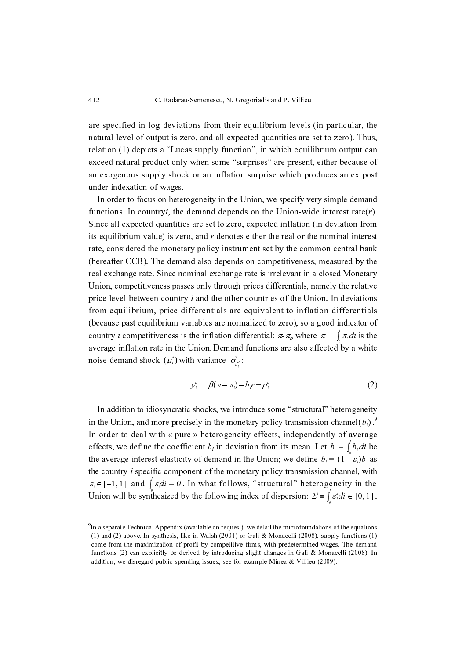are specified in log-deviations from their equilibrium levels (in particular, the natural level of output is zero, and all expected quantities are set to zero). Thus, relation (1) depicts a "Lucas supply function", in which equilibrium output can exceed natural product only when some "surprises" are present, either because of an exogenous supply shock or an inflation surprise which produces an ex post under-indexation of wages.

In order to focus on heterogeneity in the Union, we specify very simple demand functions. In country*i*, the demand depends on the Union-wide interest rate( $r$ ). Since all expected quantities are set to zero, expected inflation (in deviation from its equilibrium value) is zero, and  $r$  denotes either the real or the nominal interest rate, considered the monetary policy instrument set by the common central bank (hereafter CCB). The demand also depends on competitiveness, measured by the real exchange rate. Since nominal exchange rate is irrelevant in a closed Monetary Union, competitiveness passes only through prices differentials, namely the relative price level between country *i* and the other countries of the Union. In deviations from equilibrium, price differentials are equivalent to inflation differentials (because past equilibrium variables are normalized to zero), so a good indicator of country *i* competitiveness is the inflation differential:  $\pi$ - $\pi$ <sub>*i*</sub>, where  $\pi = \int_{a}^{\infty} \pi_i \, di$  is the  $\frac{1}{2}$  average inflation rate in the Union. Demand functions are also affected by a white noise demand shock  $(\mu_i^d)$  with variance  $\sigma_{\mu_i^d}^2$ :

$$
y_i^d = \beta(\pi - \pi_i) - b_i r + \mu_i^d \tag{2}
$$

In addition to idiosyncratic shocks, we introduce some "structural" heterogeneity in the Union, and more precisely in the monetary policy transmission channel  $(b_i)$ . In order to deal with « pure » heterogeneity effects, independently of average effects, we define the coefficient  $b_i$  in deviation from its mean. Let  $b = \int_b b_i \, di$  be the average interest-elasticity of demand in the Union; we define  $b_i = (1 + \varepsilon_i)b$  as the country-i specific component of the monetary policy transmission channel, with  $\varepsilon_i \in [-1, 1]$  and  $\int_{\mathcal{E}} \varepsilon_i di = 0$ . In what follows, "structural" heterogeneity in the Union will be synthesized by the following index of dispersion:  $\sum^3 \equiv \int c^2 \, dt \in [0, 1]$ .  $\sum^2 \equiv \int_a \varepsilon_i^2 di \in [0, 1]$ 

<sup>9</sup> In a separate Technical Appendix (available on request), we detail the microfoundations of the equations (1) and (2) above. In synthesis, like in Walsh (2001) or Gali & Monacelli (2008), supply functions (1) come from the maximization of profit by competitive firms, with predetermined wages. The demand functions (2) can explicitly be derived by introducing slight changes in Gali & Monacelli (2008). In addition, we disregard public spending issues; see for example Minea & Villieu (2009).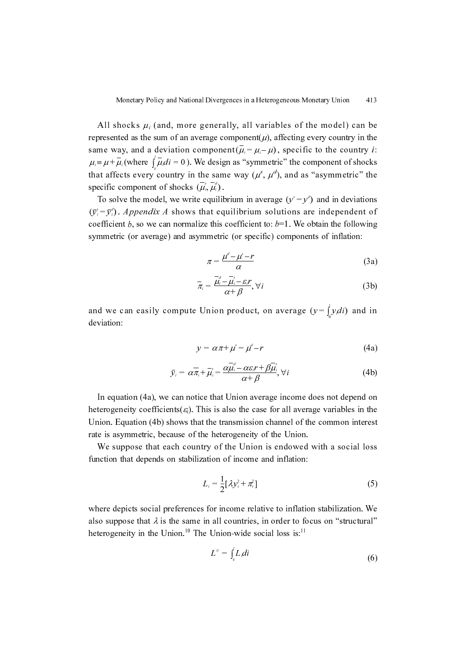All shocks  $\mu_i$  (and, more generally, all variables of the model) can be represented as the sum of an average component( $\mu$ ), affecting every country in the same way, and a deviation component  $(\overline{\mu}_i = \mu_i - \mu)$ , specific to the country *i*: where  $\int u \, du = 0$ . We design as "symmetric" the component of shocks that affects every country in the same way  $(\mu^s, \mu^d)$ , and as "asymmetric" the specific component of shocks  $(\overline{\mu}_i, \overline{\mu}_i)$ .  $\mu_i = \mu + \overline{\mu}_i$  (where  $\int_{\rho} \overline{\mu}_i di = 0$ 

To solve the model, we write equilibrium in average  $(y^s = y^d)$  and in deviations  $\therefore$  Appendix A shows that equilibrium solutions are independent of coefficient  $b$ , so we can normalize this coefficient to:  $b=1$ . We obtain the following symmetric (or average) and asymmetric (or specific) components of inflation:  $\bar{y}_i = \bar{y}_i^*$  $\frac{(y_i - y_i)}{g_i}$ 

$$
\pi = \frac{\mu^d - \mu^s - r}{\alpha} \tag{3a}
$$

$$
\overline{\pi}_i = \frac{\overline{\mu}_i^d - \overline{\mu}_i^s - \varepsilon_i r}{\alpha + \beta}, \forall i
$$
\n(3b)

and we can easily compute Union product, on average  $(y = \int_0^y y_i \, di)$  and in deviation: deviation:

$$
y = \alpha \pi + \mu^s = \mu^d - r \tag{4a}
$$

$$
\bar{y}_i = \alpha \overline{\pi}_i + \overline{\mu}_i^* = \frac{\alpha \overline{\mu}_i^d - \alpha \varepsilon_i r + \beta \overline{\mu}_i^*}{\alpha + \beta}, \forall i
$$
\n(4b)

In equation (4a), we can notice that Union average income does not depend on heterogeneity coefficients( $\varepsilon_i$ ). This is also the case for all average variables in the Union. Equation (4b) shows that the transmission channel of the common interest rate is asymmetric, because of the heterogeneity of the Union.

We suppose that each country of the Union is endowed with a social loss function that depends on stabilization of income and inflation:

$$
L_i = \frac{1}{2} [\lambda y_i^2 + \pi_i^2]
$$
 (5)

where depicts social preferences for income relative to inflation stabilization. We also suppose that  $\lambda$  is the same in all countries, in order to focus on "structural" heterogeneity in the Union.<sup>10</sup> The Union-wide social loss is:<sup>11</sup>

$$
L^{\nu} = \int_{\nu} L_i di \tag{6}
$$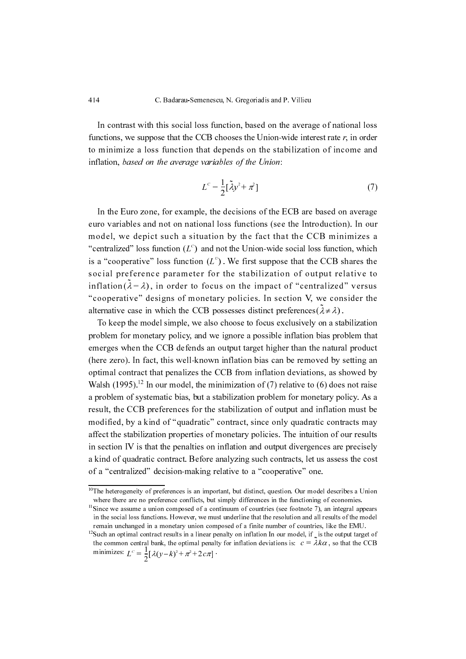In contrast with this social loss function, based on the average of national loss functions, we suppose that the CCB chooses the Union-wide interest rate  $r$ , in order to minimize a loss function that depends on the stabilization of income and inflation, based on the average variables of the Union:

$$
L^c = \frac{1}{2} [\tilde{\lambda} y^2 + \pi^2]
$$
 (7)

In the Euro zone, for example, the decisions of the ECB are based on average euro variables and not on national loss functions (see the Introduction). In our model, we depict such a situation by the fact that the CCB minimizes a "centralized" loss function  $(L<sup>c</sup>)$  and not the Union-wide social loss function, which is a "cooperative" loss function  $(L^{\nu})$ . We first suppose that the CCB shares the social preference parameter for the stabilization of output relative to inflation( $\lambda = \lambda$ ), in order to focus on the impact of "centralized" versus  $\text{minmin}(x = \lambda)$ , in order to focus on the impact of centralized versus<br>"cooperative" designs of monetary policies. In section V, we consider the alternative case in which the CCB possesses distinct preferences ( $\lambda \neq \lambda$ ). ( $L$ ) and  $\overline{L}$ <br>nction  $(L^U)$ 

To keep the model simple, we also choose to focus exclusively on a stabilization problem for monetary policy, and we ignore a possible inflation bias problem that emerges when the CCB defends an output target higher than the natural product (here zero). In fact, this well-known inflation bias can be removed by setting an optimal contract that penalizes the CCB from inflation deviations, as showed by Walsh (1995).<sup>12</sup> In our model, the minimization of (7) relative to (6) does not raise a problem of systematic bias, but a stabilization problem for monetary policy. As a result, the CCB preferences for the stabilization of output and inflation must be modified, by a kind of "quadratic" contract, since only quadratic contracts may affect the stabilization properties of monetary policies. The intuition of our results in section IV is that the penalties on inflation and output divergences are precisely a kind of quadratic contract. Before analyzing such contracts, let us assess the cost of a "centralized" decision-making relative to a "cooperative" one.

 $\overline{a}$ 

 $10$ The heterogeneity of preferences is an important, but distinct, question. Our model describes a Union where there are no preference conflicts, but simply differences in the functioning of economies.

<sup>&</sup>lt;sup>11</sup>Since we assume a union composed of a continuum of countries (see footnote 7), an integral appears in the social loss functions. However, we must underline that the resolution and all results of the model remain unchanged in a monetary union composed of a finite number of countries, like the EMU.

<sup>&</sup>lt;sup>12</sup>Such an optimal contract results in a linear penalty on inflation In our model, if  $\zeta$  is the output target of the common central bank, the optimal penalty for inflation deviations is:  $c = \lambda k \alpha$ , so that the CCB minimizes:  $c \leq \frac{1}{k} \alpha (k - k)^2 + 2 + 2 = 1$ minimizes:  $L^c = \frac{1}{2} [\lambda (y - k)^2 + \pi^2 + 2c \pi]$ .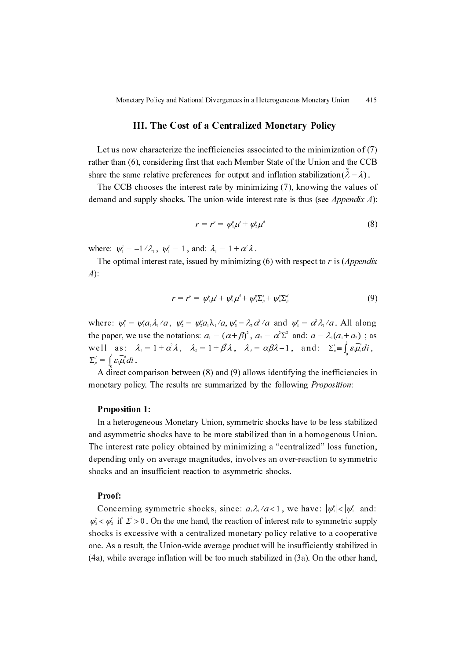#### III. The Cost of a Centralized Monetary Policy

Let us now characterize the inefficiencies associated to the minimization of (7) rather than (6), considering first that each Member State of the Union and the CCB share the same relative preferences for output and inflation stabilization  $(\lambda = \lambda)$ .

The CCB chooses the interest rate by minimizing (7), knowing the values of demand and supply shocks. The union-wide interest rate is thus (see *Appendix A*):

$$
r = rc = \psi_{1}^{\mu} \mu^{s} + \psi_{2}^{\mu} \mu^{d}
$$
 (8)

where:  $\psi_1^c = -1/\lambda_1$ ,  $\psi_1^c = 1$ , and:  $\lambda_1 = 1 + \alpha^2 \lambda$ .

The optimal interest rate, issued by minimizing  $(6)$  with respect to r is  $(Appendix)$  $A$ :

$$
r = r^u = \psi_1^u \mu^s + \psi_2^u \mu^d + \psi_3^u \Sigma_\mu^s + \psi_4^u \Sigma_\mu^d \tag{9}
$$

where:  $\psi_1^{\mu} = \psi_1^{\mu} a_1 \lambda_1^{\mu} a_1, \quad \psi_2^{\mu} = \psi_2^{\mu} a_1 \lambda_1^{\mu} a_1 \psi_3^{\mu} = \lambda_3 \alpha^2 / a$  and  $\psi_4^{\mu} = \alpha^2 \lambda_1 / a$ . All along the paper, we use the notations:  $a_1 = (\alpha + \beta)^2$ ,  $a_2 = \alpha^2 \Sigma^2$  and:  $a = \lambda_1(a_1 + a_2)$ ; as the paper, we use the notations:  $a_1 = (\alpha + \beta)^T$ ,  $a_2 = \alpha \sum$  and:  $a = \lambda_1(a_1 + a_2)$ ; a<br>well as:  $\lambda_1 = 1 + \alpha^2 \lambda$ ,  $\lambda_2 = 1 + \beta \lambda$ ,  $\lambda_3 = \alpha \beta \lambda - 1$ , and:  $\sum_{\mu}^s = \int_a^1 \varepsilon_i \overline{\mu}_i^s d\overline{\mu}_j^s$  $\Sigma_{\mu}^d = \int_{0}^{\infty} \varepsilon_i \overline{\mu}_i^d di$ .  $\lambda_1 = 1 + \alpha^2 \lambda$ ,  $\lambda_2 = 1 + \beta^2 \lambda$ ,  $\lambda_3 = \alpha \beta \lambda - 1$ , and:  $\Sigma_{\mu}^s = \int_{0}^{\infty} \varepsilon_i \mu_i^s d\tau$ 

A direct comparison between (8) and (9) allows identifying the inefficiencies in monetary policy. The results are summarized by the following Proposition:

## **Proposition 1:**

In a heterogeneous Monetary Union, symmetric shocks have to be less stabilized and asymmetric shocks have to be more stabilized than in a homogenous Union. The interest rate policy obtained by minimizing a "centralized" loss function, depending only on average magnitudes, involves an over-reaction to symmetric shocks and an insufficient reaction to asymmetric shocks.

#### Proof:

Concerning symmetric shocks, since:  $a_1 \lambda_1 / a < 1$ , we have:  $|\psi_1| < |\psi_1|$  and:  $\psi^{\nu} \leq \psi^{\nu}$  if  $\Sigma^2 > 0$ . On the one hand, the reaction of interest rate to symmetric supply  $\varphi_2 \leq \varphi_2$  in  $\varphi_2 > 0$ . On the one hand, the reaction of interest rate to symmetric supply shocks is excessive with a centralized monetary policy relative to a cooperative one. As a result, the Union-wide average product will be insufficiently stabilized in (4a), while average inflation will be too much stabilized in (3a). On the other hand,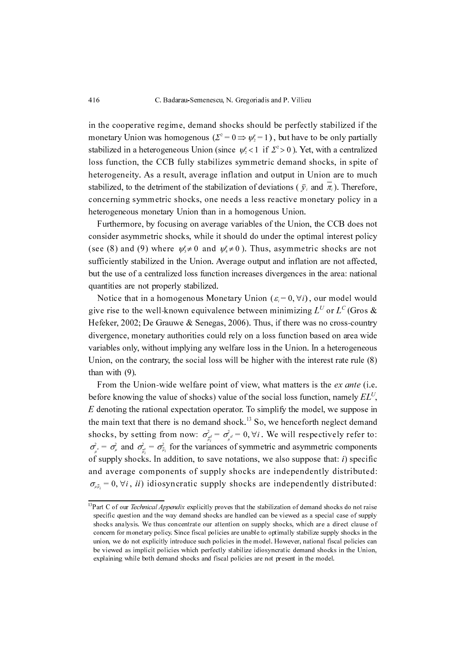in the cooperative regime, demand shocks should be perfectly stabilized if the monetary Union was homogenous ( $\Sigma^2 = 0 \Rightarrow \psi_2^2 = 1$ ), but have to be only partially stabilized in a heterogeneous Union (since  $\psi_2^2 < 1$  if  $\Sigma^2 > 0$ ). Yet, with a centralized stabilized in a neterogeneous Union (since  $\psi_2$  x 1 if  $\mathbb{Z} > 0$ ). Tet, while demand<br>loss function, the CCB fully stabilizes symmetric demand shocks, in spite of heterogeneity. As a result, average inflation and output in Union are to much stabilized, to the detriment of the stabilization of deviations ( $\bar{y}_i$  and  $\pi_i$ ). Therefore, concerning symmetric shocks, one needs a less reactive monetary policy in a heterogeneous monetary Union than in a homogenous Union.  $\psi_2^{\mu}$  < 1 if  $\sum$ <sup>2</sup>

Furthermore, by focusing on average variables of the Union, the CCB does not consider asymmetric shocks, while it should do under the optimal interest policy (see (8) and (9) where  $\psi_s^* \neq 0$  and  $\psi_s^* \neq 0$ ). Thus, asymmetric shocks are not  $(\sec(\theta))$  and  $(\ell)$  where  $\psi_i \neq 0$  and  $\psi_i \neq 0$ . Thus, asymmetric shocks are not affected, sufficiently stabilized in the Union. Average output and inflation are not affected, but the use of a centralized loss function increases divergences in the area: national quantities are not properly stabilized.

Notice that in a homogenous Monetary Union  $(\varepsilon_i = 0, \forall i)$ , our model would give rise to the well-known equivalence between minimizing  $L^U$  or  $L^C$  (Gros & Hefeker, 2002; De Grauwe & Senegas, 2006). Thus, if there was no cross-country divergence, monetary authorities could rely on a loss function based on area wide variables only, without implying any welfare loss in the Union. In a heterogeneous Union, on the contrary, the social loss will be higher with the interest rate rule (8) than with (9).

From the Union-wide welfare point of view, what matters is the ex ante (i.e. before knowing the value of shocks) value of the social loss function, namely  $EL^U$ ,  $E$  denoting the rational expectation operator. To simplify the model, we suppose in the main text that there is no demand shock.<sup>13</sup> So, we henceforth neglect demand shocks, by setting from now:  $\sigma_{\mu_i}^2 = \sigma_{\mu}^2 = 0$ ,  $\forall i$ . We will respectively refer to:  $\sigma_{\mu}^2 = \sigma_{\mu}^2$  and  $\sigma_{\overline{\mu}_i}^2 = \sigma_{\overline{\mu}_i}^2$  for the variances of symmetric and asymmetric components  $\int_{\mu}^{\mu}$  such  $\int_{\overline{\mu}_i}^{\mu}$  such that the containmental end of suppose that: *i*) specific of supply shocks. In addition, to save notations, we also suppose that: *i*) specific and average components of supply shocks are independently distributed:  $\sigma_{\mu \bar{\mu}_i} = 0, \forall i$ , *ii*) idiosyncratic supply shocks are independently distributed:

<sup>&</sup>lt;sup>13</sup>Part C of our *Technical Appendix* explicitly proves that the stabilization of demand shocks do not raise specific question and the way demand shocks are handled can be viewed as a special case of supply shocks analysis. We thus concentrate our attention on supply shocks, which are a direct clause of concern for monetary policy. Since fiscal policies are unable to optimally stabilize supply shocks in the union, we do not explicitly introduce such policies in the model. However, national fiscal policies can be viewed as implicit policies which perfectly stabilize idiosyncratic demand shocks in the Union, explaining while both demand shocks and fiscal policies are not present in the model.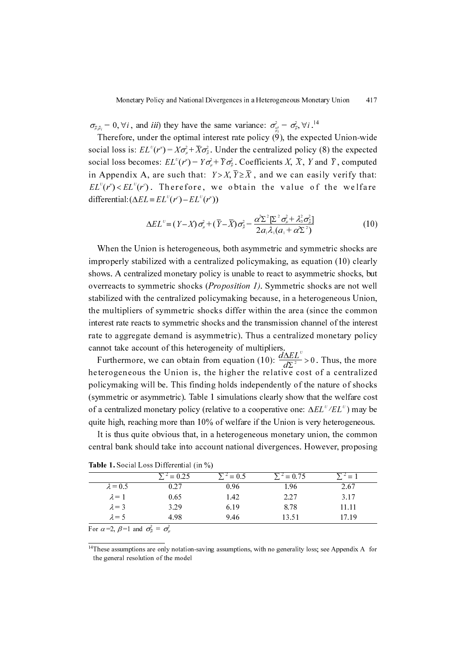$\sigma_{\vec{\mu},\vec{\mu}_i} = 0, \forall i$ , and *iii*) they have the same variance:  $\sigma_{\vec{\mu}_i}^2 = \sigma_{\vec{\mu}_i}^2 \forall i$ .<sup>14</sup>

Therefore, under the optimal interest rate policy  $(9)$ , the expected Union-wide social loss is:  $EL^{U}(r^{u}) = X\sigma_{\mu}^{2} + \overline{X}\sigma_{\mu}^{2}$ . Under the centralized policy (8) the expected social loss becomes:  $EL^{U}(r^{*}) = Y\sigma_{\mu}^{2} + \overline{Y}\sigma_{\mu}^{2}$ . Coefficients X,  $\overline{X}$ , Y and  $\overline{Y}$ , computed in Appendix A, are such that:  $Y > X$ ,  $\overline{Y} \ge \overline{X}$ , and we can easily verify that:  $EL^{U}(r^{n}) < EL^{U}(r^{c})$ . Therefore, we obtain the value of the welfare differential: $(\Delta EL \equiv EL^{U}(r^{c}) - EL^{U}(r^{u}))$ 

$$
\Delta EL^{\nu} = (Y - X)\sigma_{\mu}^{2} + (\overline{Y} - \overline{X})\sigma_{\overline{\mu}}^{2} = \frac{\alpha^{2}\Sigma^{2}[\Sigma^{2}\sigma_{\mu}^{2} + \lambda_{3}^{2}\sigma_{\overline{\mu}}^{2}]}{2a_{1}\lambda_{1}(a_{1} + \alpha^{2}\Sigma^{2})}
$$
(10)

When the Union is heterogeneous, both asymmetric and symmetric shocks are improperly stabilized with a centralized policymaking, as equation (10) clearly shows. A centralized monetary policy is unable to react to asymmetric shocks, but overreacts to symmetric shocks (Proposition 1). Symmetric shocks are not well stabilized with the centralized policymaking because, in a heterogeneous Union, the multipliers of symmetric shocks differ within the area (since the common interest rate reacts to symmetric shocks and the transmission channel of the interest rate to aggregate demand is asymmetric). Thus a centralized monetary policy cannot take account of this heterogeneity of multipliers.

Furthermore, we can obtain from equation (10):  $\frac{u\Delta EL}{dS^2} > 0$ . Thus, the more heterogeneous the Union is, the higher the relative cost of a centralized policymaking will be. This finding holds independently of the nature of shocks (symmetric or asymmetric). Table 1 simulations clearly show that the welfare cost of a centralized monetary policy (relative to a cooperative one:  $\Delta EL^U/EL^U$ ) may be quite high, reaching more than 10% of welfare if the Union is very heterogeneous.  $\frac{d\Delta EL^{\upsilon}}{d\boldsymbol{\Sigma}^2}$ dΣ <sup>2</sup> ---------------- <sup>&</sup>gt; <sup>0</sup>

It is thus quite obvious that, in a heterogeneous monetary union, the common central bank should take into account national divergences. However, proposing

|                                                           | $= 0.25$ | $= 0.5$ | $t^2 = 0.75$ |       |
|-----------------------------------------------------------|----------|---------|--------------|-------|
| $\lambda = 0.5$                                           | 0.27     | 0.96    | 1.96         | 2.67  |
| $\lambda = 1$                                             | 0.65     | 1.42    | 2.27         | 3.17  |
| $\lambda = 3$                                             | 3.29     | 6.19    | 8.78         | 11.11 |
| $\lambda = 5$                                             | 4.98     | 9.46    | 13.51        | 17.19 |
| $\sim$ $\sim$ $\sim$ $\sim$ $\sim$ $\sim$<br>$\mathbf{r}$ |          |         |              |       |

Table 1. Social Loss Differential (in %)

For  $\alpha = 2$ ,  $\beta = 1$  and  $\sigma_{\mu}^2 = \sigma_{\mu}^2$ 

 $14$ These assumptions are only notation-saving assumptions, with no generality loss; see Appendix A for the general resolution of the model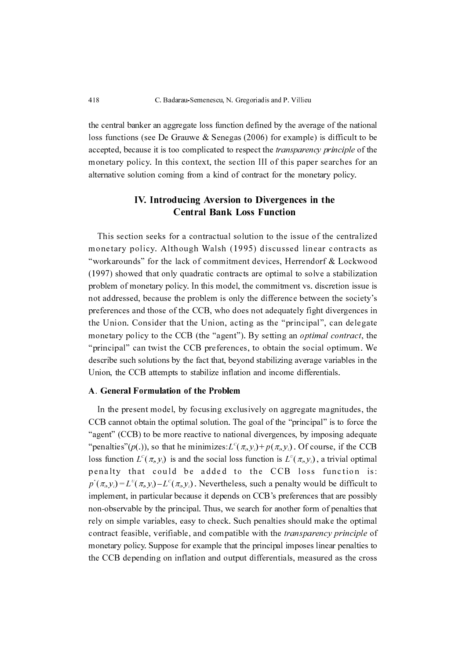the central banker an aggregate loss function defined by the average of the national loss functions (see De Grauwe & Senegas (2006) for example) is difficult to be accepted, because it is too complicated to respect the *transparency principle* of the monetary policy. In this context, the section III of this paper searches for an alternative solution coming from a kind of contract for the monetary policy.

## IV. Introducing Aversion to Divergences in the Central Bank Loss Function

This section seeks for a contractual solution to the issue of the centralized monetary policy. Although Walsh (1995) discussed linear contracts as "workarounds" for the lack of commitment devices, Herrendorf & Lockwood (1997) showed that only quadratic contracts are optimal to solve a stabilization problem of monetary policy. In this model, the commitment vs. discretion issue is not addressed, because the problem is only the difference between the society's preferences and those of the CCB, who does not adequately fight divergences in the Union. Consider that the Union, acting as the "principal", can delegate monetary policy to the CCB (the "agent"). By setting an *optimal contract*, the "principal" can twist the CCB preferences, to obtain the social optimum. We describe such solutions by the fact that, beyond stabilizing average variables in the Union, the CCB attempts to stabilize inflation and income differentials. C. Badarau-Semenescu, N. G.<br>
the central banker an aggregate loss function<br>
loss functions (see De Grauwe & Senegas<br>
accepted, because it is too complicated to re<br>
monetary policy. In this context, the sec<br>
alternative sol

#### A. General Formulation of the Problem

In the present model, by focusing exclusively on aggregate magnitudes, the CCB cannot obtain the optimal solution. The goal of the "principal" is to force the "agent" (CCB) to be more reactive to national divergences, by imposing adequate "penalties"(p(.)), so that he minimizes:  $L^{c}(\pi_{i}, y_{i}) + p(\pi_{i}, y_{i})$ . Of course, if the CCB loss function  $L^c(\pi, y_i)$  is and the social loss function is  $L^v(\pi, y_i)$ , a trivial optimal penalty that could be added to the CCB loss function is:  $p^*(\pi_i, y_i) = L^{\nu}(\pi_i, y_i) - L^{\nu}(\pi_i, y_i)$ . Nevertheless, such a penalty would be difficult to implement, in particular because it depends on CCB's preferences that are possibly non-observable by the principal. Thus, we search for another form of penalties that rely on simple variables, easy to check. Such penalties should make the optimal contract feasible, verifiable, and compatible with the transparency principle of monetary policy. Suppose for example that the principal imposes linear penalties to the CCB depending on inflation and output differentials, measured as the cross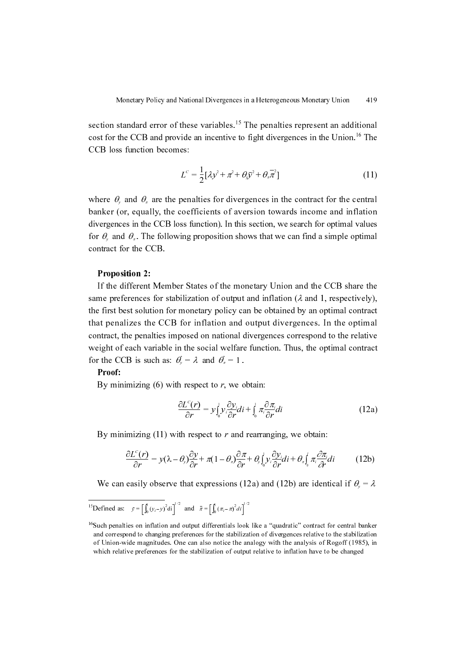section standard error of these variables.<sup>15</sup> The penalties represent an additional cost for the CCB and provide an incentive to fight divergences in the Union.<sup>16</sup> The CCB loss function becomes:

$$
L^c = \frac{1}{2} [\lambda y^2 + \pi^2 + \theta_y \overline{y}^2 + \theta_z \overline{\pi}^2]
$$
 (11)

where  $\theta_{y}$  and  $\theta_{x}$  are the penalties for divergences in the contract for the central banker (or, equally, the coefficients of aversion towards income and inflation divergences in the CCB loss function). In this section, we search for optimal values for  $\theta$ , and  $\theta$ <sub>x</sub>. The following proposition shows that we can find a simple optimal contract for the CCB.

## **Proposition 2:**

If the different Member States of the monetary Union and the CCB share the same preferences for stabilization of output and inflation  $(\lambda$  and 1, respectively). the first best solution for monetary policy can be obtained by an optimal contract that penalizes the CCB for inflation and output divergences. In the optimal contract, the penalties imposed on national divergences correspond to the relative weight of each variable in the social welfare function. Thus, the optimal contract for the CCB is such as:  $\theta_y = \lambda$  and  $\theta_x = 1$ .

## Proof:

By minimizing  $(6)$  with respect to r, we obtain:

$$
\frac{\partial L^{c}(r)}{\partial r} = y \int_{0}^{1} y_{i} \frac{\partial y_{i}}{\partial r} di + \int_{0}^{1} \pi_{i} \frac{\partial \pi_{i}}{\partial r} di
$$
\n(12a)

By minimizing  $(11)$  with respect to r and rearranging, we obtain:

$$
\frac{\partial L^{c}(r)}{\partial r} = y(\lambda - \theta_{y})\frac{\partial y}{\partial r} + \pi(1 - \theta_{z})\frac{\partial \pi}{\partial r} + \theta_{y}\int_{0}^{1} y_{i}\frac{\partial y_{i}}{\partial r}di + \theta_{z}\int_{0}^{1} \pi_{i}\frac{\partial \pi_{i}}{\partial r}di \qquad (12b)
$$

We can easily observe that expressions (12a) and (12b) are identical if  $\theta_{y} = \lambda$ 

$$
{}^{15}\text{Defined as:} \quad \bar{y} = \left[\int_0^1 (y_i - y)^2 \, \mathrm{d}x \right]^{1/2} \text{ and } \quad \bar{\pi} = \left[\int_0^1 (\pi_i - \pi)^2 \, \mathrm{d}x \right]^{1/2}
$$

<sup>&</sup>lt;sup>16</sup>Such penalties on inflation and output differentials look like a "quadratic" contract for central banker and correspond to changing preferences for the stabilization of divergences relative to the stabilization of Union-wide magnitudes. One can also notice the analogy with the analysis of Rogoff (1985), in which relative preferences for the stabilization of output relative to inflation have to be changed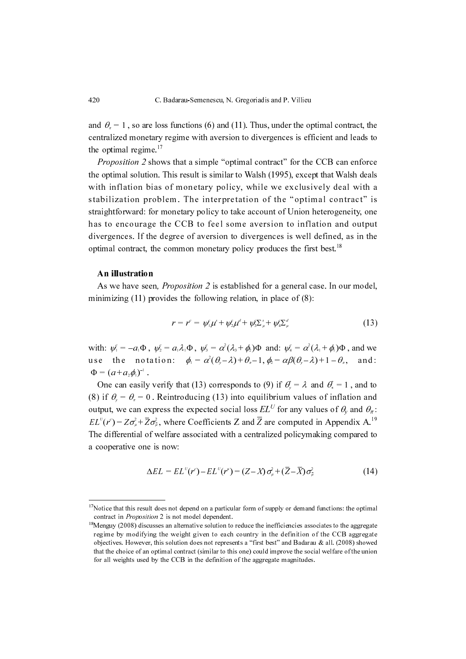and  $\theta_{\rm r} = 1$ , so are loss functions (6) and (11). Thus, under the optimal contract, the  $c_{\pi}$  and  $c_{\pi}$  if the axistence of the contract of the contract and leads to centralized monetary regime with aversion to divergences is efficient and leads to the optimal regime. $17$ 

*Proposition 2* shows that a simple "optimal contract" for the CCB can enforce the optimal solution. This result is similar to Walsh (1995), except that Walsh deals with inflation bias of monetary policy, while we exclusively deal with a stabilization problem. The interpretation of the "optimal contract" is straightforward: for monetary policy to take account of Union heterogeneity, one has to encourage the CCB to feel some aversion to inflation and output divergences. If the degree of aversion to divergences is well defined, as in the optimal contract, the common monetary policy produces the first best.<sup>18</sup>

### An illustration

As we have seen, *Proposition 2* is established for a general case. In our model, minimizing (11) provides the following relation, in place of (8):

$$
r = r^{c} = \psi_{1} \mu^{s} + \psi_{2} \mu^{d} + \psi_{3} \Sigma_{\mu}^{s} + \psi_{4} \Sigma_{\mu}^{d}
$$
 (13)

with:  $\psi_1^c = -a_1 \Phi$ ,  $\psi_2^c = a_1 \lambda_1 \Phi$ ,  $\psi_3^c = \alpha^2 (\lambda_1 + \phi_2) \Phi$  and:  $\psi_4^c = \alpha^2 (\lambda_1 + \phi_1) \Phi$ , and we with  $\varphi_1 = a_1 \varphi$ ,  $\varphi_2 = a_1 \varphi_1 \varphi$ ,  $\varphi_3 = a_2 \varphi_3 + \varphi_2 \varphi$  and:  $\varphi_4 = a_1 \varphi_1 + \varphi_1 \varphi_2$ , and we<br>use the notation:  $\varphi_1 = \alpha^2(\theta_2 - \lambda) + \theta_2 - 1$ ,  $\varphi_2 = \alpha \beta(\theta_2 - \lambda) + 1 - \theta_2$ , and:  $\Phi = (a + a_2 \phi_1)^{-1}.$  $\varphi_1 = \alpha \left( \theta_y - \lambda \right) + \theta_x - 1, \varphi_2 = \alpha \beta \left( \theta_y - \lambda \right) + 1 - \theta_x$ 

One can easily verify that (13) corresponds to (9) if  $\theta_{n} = \lambda$  and  $\theta_{n} = 1$ , and to One can easily verify that (15) corresponds to (5) if  $\theta_y = \lambda$  and  $\theta_x = 1$ , and to (8) if  $\theta_y = \theta_x = 0$ . Reintroducing (13) into equilibrium values of inflation and output, we can express the expected social loss  $EL^U$  for any values of  $\theta_y$  and  $\theta_x$ :  $EL^{U}(r^{c}) = Z\sigma_{\mu}^{2} + \overline{Z}\sigma_{\mu}^{2}$ , where Coefficients Z and Z are computed in Appendix A.<sup>19</sup> The differential of welfare associated with a centralized policymaking compared to a cooperative one is now:  $\theta_{y} = \lambda$  and  $\theta_{\pi}$  $\mathbf{v}_y - \mathbf{v}_z = \mathbf{0}$ 

$$
\Delta EL = EL^{U}(r^{c}) - EL^{U}(r^{u}) = (Z - X)\sigma_{\mu}^{2} + (\overline{Z} - \overline{X})\sigma_{\overline{\mu}}^{2}
$$
\n(14)

 $17$ Notice that this result does not depend on a particular form of supply or demand functions: the optimal contract in *Proposition* 2 is not model dependent.<br><sup>18</sup>Menguy (2008) discusses an alternative solution to reduce the inefficiencies associates to the aggregate

regime by modifying the weight given to each country in the definition of the CCB aggregate objectives. However, this solution does not represents a "first best" and Badarau & all. (2008) showed that the choice of an optimal contract (similar to this one) could improve the social welfare of the union for all weights used by the CCB in the definition of the aggregate magnitudes.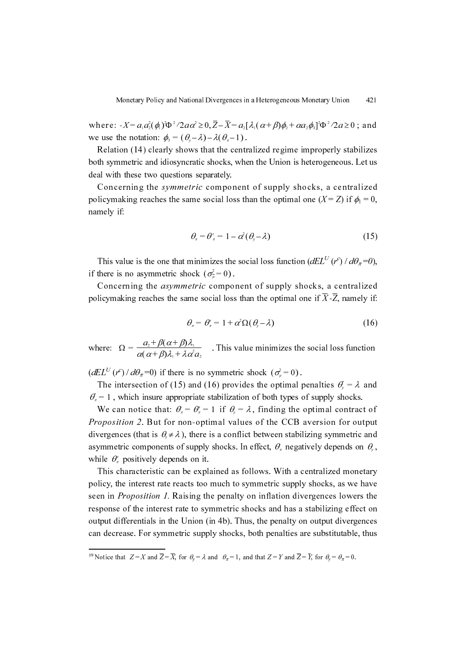where:  $X = a_1 a_2^2(\phi_1) \Phi^2/2a \alpha^2 \ge 0$ ,  $\overline{Z} - \overline{X} = a_2 [\lambda_1(\alpha + \beta)\phi_2 + \alpha a_2 \phi_3]^2 \Phi^2/2a \ge 0$ ; and we use the notation:  $\phi_1 = (\theta - \lambda) - \lambda(\theta - 1)$ .

The discussion  $\psi_s = (\psi_s - \lambda) - \lambda(\psi_s - 1)$ .<br>Relation (14) clearly shows that the centralized regime improperly stabilizes both symmetric and idiosyncratic shocks, when the Union is heterogeneous. Let us deal with these two questions separately.

Concerning the *symmetric* component of supply shocks, a centralized policymaking reaches the same social loss than the optimal one  $(X = Z)$  if  $\phi_1 = 0$ , namely if:

$$
\theta_{\scriptscriptstyle{\pi}} = \theta^{\scriptscriptstyle{\pi}}_{\scriptscriptstyle{\pi}} = 1 - \alpha^2 (\theta_{\scriptscriptstyle{\pi}} - \lambda) \tag{15}
$$

This value is the one that minimizes the social loss function  $(dEL^{U}(r^{c}) / d\theta_{\pi} = 0)$ , if there is no asymmetric shock  $(\sigma_{\overline{\mu}}^2 = 0)$ .

Concerning the *asymmetric* component of supply shocks, a centralized policymaking reaches the same social loss than the optimal one if  $\overline{X}$ - $\overline{Z}$ , namely if:

$$
\theta_{\pi} = \theta_{\pi}^{\prime} = 1 + \alpha^2 \Omega(\theta_{\varphi} - \lambda) \tag{16}
$$

where:  $\Omega = \frac{a_1 + \beta(\alpha + \beta)\lambda_1}{\alpha(\alpha + \beta)\lambda_1 + \lambda\alpha^2 a_1}$ . This value minimizes the social loss function  $\alpha(\alpha+\beta)\lambda_{\scriptscriptstyle{1}}\!+\!\lambda\,\alpha^{\scriptscriptstyle{2}}a_{\scriptscriptstyle{2}}$ 

 $(dEL^{U}(r^{c}) / d\theta_{\pi} = 0)$  if there is no symmetric shock  $(\sigma_{\mu}^{2} = 0)$ .

The intersection of (15) and (16) provides the optimal penalties  $\theta_i = \lambda$  and metricular of  $(13)$  and  $(10)$  provides the optimal penalties  $\alpha_y = \lambda$ , which insure appropriate stabilization of both types of supply shocks.  $\theta_y$  $\theta_n$ 

We can notice that:  $\theta_x = \theta'_x = 1$  if  $\theta_y = \lambda$ , finding the optimal contract of Proposition 2. But for non-optimal values of the CCB aversion for output divergences (that is  $\theta_y \neq \lambda$ ), there is a conflict between stabilizing symmetric and asymmetric components of supply shocks. In effect,  $\theta_{\alpha}$  negatively depends on  $\theta_{\gamma}$ , while  $\theta_{\pi}$  positively depends on it.  $\theta_{\pi} = \theta_{\pi}^{\mu} = 1$  if  $\theta_{y} = \lambda$ 

This characteristic can be explained as follows. With a centralized monetary policy, the interest rate reacts too much to symmetric supply shocks, as we have seen in *Proposition 1*. Raising the penalty on inflation divergences lowers the response of the interest rate to symmetric shocks and has a stabilizing effect on output differentials in the Union (in 4b). Thus, the penalty on output divergences can decrease. For symmetric supply shocks, both penalties are substitutable, thus

<sup>&</sup>lt;sup>19</sup> Notice that  $Z = X$  and  $\overline{Z} = \overline{X}$ , for  $\theta_y = \lambda$  and  $\theta_{\pi} = 1$ , and that  $Z = Y$  and  $\overline{Z} = \overline{Y}$ , for  $\theta_y = \theta_{\pi} = 0$ .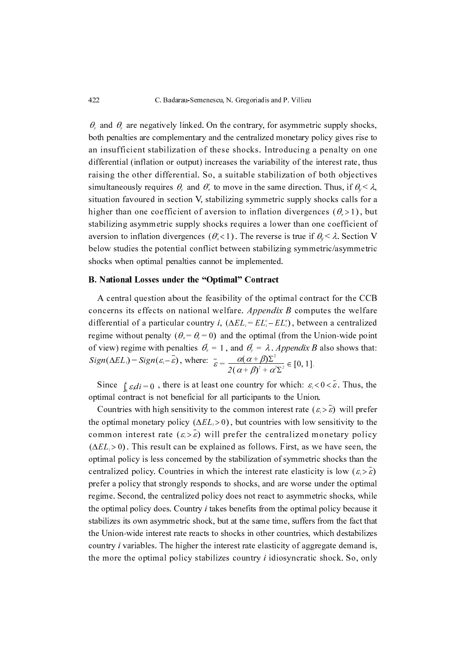$\theta$ , and  $\theta$ , are negatively linked. On the contrary, for asymmetric supply shocks, both penalties are complementary and the centralized monetary policy gives rise to an insufficient stabilization of these shocks. Introducing a penalty on one differential (inflation or output) increases the variability of the interest rate, thus raising the other differential. So, a suitable stabilization of both objectives simultaneously requires  $\theta_{y}$  and  $\theta_{x}^{*}$  to move in the same direction. Thus, if  $\theta_{y} < \lambda$ , situation favoured in section V, stabilizing symmetric supply shocks calls for a higher than one coefficient of aversion to inflation divergences  $(\theta_{\pi} > 1)$ , but stabilizing asymmetric supply shocks requires a lower than one coefficient of aversion to inflation divergences  $(\theta_*<1)$ . The reverse is true if  $\theta_y < \lambda$ . Section V below studies the potential conflict between stabilizing symmetric/asymmetric  $\frac{1}{2}$ shocks when optimal penalties cannot be implemented.

## B. National Losses under the "Optimal" Contract

A central question about the feasibility of the optimal contract for the CCB concerns its effects on national welfare. Appendix B computes the welfare differential of a particular country *i*,  $(\Delta EL_i = EL_i^c - EL_i^u)$ , between a centralized regime without penalty  $(\theta_{\pi} = \theta_{\theta} = 0)$  and the optimal (from the Union-wide point of view) regime with penalties  $\theta_{n}^{*} = 1$ , and  $\theta_{y}^{*} = \lambda$ . Appendix B also shows that: where:  $\frac{1}{s} = \frac{\alpha(\alpha)}{\alpha}$  $\theta_{\pi} = 1$ , and  $\theta_{\gamma} = \lambda$  $Sign(\Delta EL_i) = Sign(\varepsilon_i - \varepsilon)$ , where:  $\frac{\varepsilon}{\varepsilon} = \frac{\alpha(\alpha + \beta)\Sigma^2}{2(\alpha + \beta)^2 + \alpha^2}$  $2(\alpha+\beta)^2 + \alpha^2\Sigma^2 \in L^{\infty, 1}.$ 

Since  $\int_{0}^{1} \varepsilon_i di = 0$ , there is at least one country for which:  $\varepsilon_i < 0 < \varepsilon$ . Thus, the timel contract is not bandfield for all participants to the Union. Since  $\int_{\theta} \varepsilon_i dt = 0$ , there is at reast one country for which,  $\varepsilon_i < 0 < \varepsilon$  optimal contract is not beneficial for all participants to the Union.

Countries with high sensitivity to the common interest rate  $(\varepsilon_i > \varepsilon)$  will prefer the optimal monetary policy  $(\Delta EL_i > 0)$ , but countries with low sensitivity to the common interest rate  $(\varepsilon_i > \bar{\varepsilon})$  will prefer the centralized monetary policy  $(\Delta EL_i > 0)$ . This result can be explained as follows. First, as we have seen, the extinct of the state of the state of the state of the state of the state of the state of the state of the state of the state of the state of optimal policy is less concerned by the stabilization of symmetric shocks than the centralized policy. Countries in which the interest rate elasticity is low  $(\varepsilon_i > \varepsilon)$ prefer a policy that strongly responds to shocks, and are worse under the optimal regime. Second, the centralized policy does not react to asymmetric shocks, while the optimal policy does. Country  $i$  takes benefits from the optimal policy because it stabilizes its own asymmetric shock, but at the same time, suffers from the fact that the Union-wide interest rate reacts to shocks in other countries, which destabilizes country i variables. The higher the interest rate elasticity of aggregate demand is, the more the optimal policy stabilizes country i idiosyncratic shock. So, only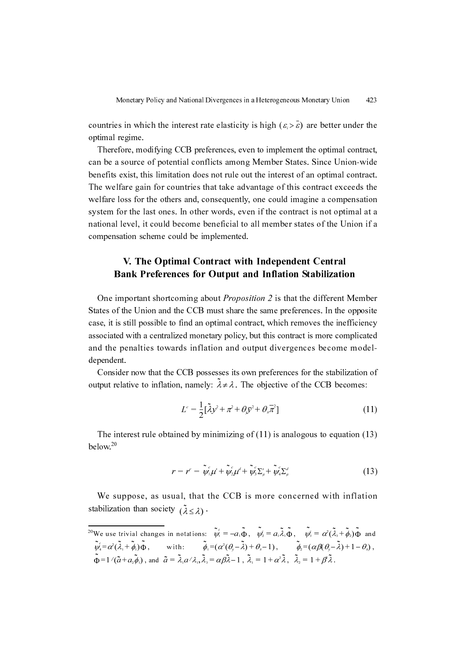countries in which the interest rate elasticity is high  $(\varepsilon \geq \varepsilon)$  are better under the optimal regime.

Therefore, modifying CCB preferences, even to implement the optimal contract, can be a source of potential conflicts among Member States. Since Union-wide benefits exist, this limitation does not rule out the interest of an optimal contract. The welfare gain for countries that take advantage of this contract exceeds the welfare loss for the others and, consequently, one could imagine a compensation system for the last ones. In other words, even if the contract is not optimal at a national level, it could become beneficial to all member states of the Union if a compensation scheme could be implemented.

# V. The Optimal Contract with Independent Central Bank Preferences for Output and Inflation Stabilization

One important shortcoming about Proposition 2 is that the different Member States of the Union and the CCB must share the same preferences. In the opposite case, it is still possible to find an optimal contract, which removes the inefficiency associated with a centralized monetary policy, but this contract is more complicated and the penalties towards inflation and output divergences become modeldependent.

Consider now that the CCB possesses its own preferences for the stabilization of output relative to inflation, namely:  $\lambda \neq \lambda$ . The objective of the CCB becomes:

$$
L^c = \frac{1}{2} [\tilde{\lambda} y^2 + \pi^2 + \theta_y \overline{y}^2 + \theta_z \overline{\pi}^2]
$$
 (11)

The interest rule obtained by minimizing of  $(11)$  is analogous to equation  $(13)$  $helow<sup>20</sup>$ 

$$
r = r^c = \tilde{\psi}_1^c \mu^s + \tilde{\psi}_2^c \mu^d + \tilde{\psi}_3^c \Sigma_\mu^s + \tilde{\psi}_4^c \Sigma_\mu^d \tag{13}
$$

We suppose, as usual, that the CCB is more concerned with inflation stabilization than society  $(\tilde{\lambda} < \lambda)$ .  $(\lambda \leq \lambda)$ 

<sup>&</sup>lt;sup>20</sup>We use trivial changes in notations:  $\psi_1 = -a_1 \Phi$ ,  $\psi_2 = a_1 \lambda_1 \Phi$ ,  $\psi_3 = \alpha^2 (\lambda_3 + \phi_2) \Phi$  and , with:  $\phi_1 = (\alpha^2(\theta, -\lambda) + \theta_{\pi} - 1),$   $\phi_2 = (\alpha\beta(\theta, -\lambda) + 1 - \theta_{\pi}),$ , and  $\hat{a} = \lambda_1 a / \lambda_1$ ,  $\lambda_3 = \alpha \beta \lambda - 1$ ,  $\lambda_1 = 1 + \alpha^2 \lambda$ ,  $\lambda_2 = 1 + \beta \lambda$ .  $\psi_1 = -a_1 \Phi$ ,  $\psi_2 = a_1 \lambda_1 \Phi$ ,  $\psi_3 = \alpha^2 (\lambda_3 + \phi_2) \Phi$  $\psi_{4} = \alpha^{2}(\lambda_{1} + \phi_{1})\Phi$ , with:  $\phi_{1} = (\alpha^{2}(\theta_{y} - \lambda) + \theta_{z} - 1)$ ,  $\phi_{2} = (\alpha\beta(\theta_{y} - \lambda) + 1 - \theta_{z})$  $\Phi = 1/(a + a_2\phi_1)$ , and  $a = \lambda_1 a/\lambda_1, \lambda_3 = \alpha\beta\lambda - 1$ ,  $\lambda_1 = 1 + \alpha\lambda$ ,  $\lambda_2 = 1 + \beta\lambda$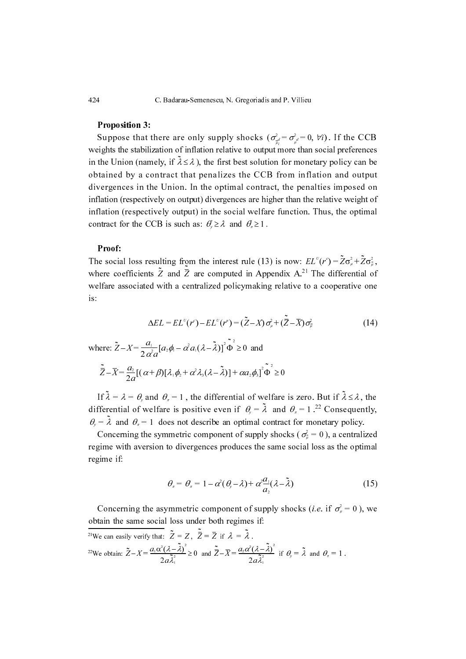#### **Proposition 3:**

Suppose that there are only supply shocks  $(\sigma_{\mu}^2 = \sigma_{\mu}^2 = 0, \forall i)$ . If the CCB weights the stabilization of inflation relative to output more than social preferences in the Union (namely, if  $\lambda \le \lambda$ ), the first best solution for monetary policy can be obtained by a contract that penalizes the CCB from inflation and output divergences in the Union. In the optimal contract, the penalties imposed on inflation (respectively on output) divergences are higher than the relative weight of inflation (respectively output) in the social welfare function. Thus, the optimal contract for the CCB is such as:  $\theta_j \ge \lambda$  and  $\theta_n \ge 1$ .

#### Proof:

The social loss resulting from the interest rule (13) is now:  $EL^{U}(r^{c}) = Z\sigma_{\mu}^{2} + Z\sigma_{\mu}^{2}$ where coefficients Z and  $\overline{Z}$  are computed in Appendix A.<sup>21</sup> The differential of welfare associated with a centralized policymaking relative to a cooperative one is: The differential cannot all  $\overline{Z}$  and  $\overline{Z}$  are computed in Appendix A.<sup>21</sup> The differential cannot  $\overline{Z}$  and  $\overline{Z}$  are computed in Appendix A.<sup>21</sup> The differential cannot be all  $\overline{Z}$  are computed in Appen

$$
\Delta EL = EL^{U}(r^{c}) - EL^{U}(r^{u}) = (\tilde{Z} - X)\sigma_{\mu}^{2} + (\tilde{Z} - \overline{X})\sigma_{\overline{\mu}}^{2}
$$
\n(14)

where:  $\tilde{Z} - X = \frac{a_1}{2 \alpha^2 a} [a_2 \phi_1 - \alpha^2 a_1 (\lambda - \tilde{\lambda})]^2 \Phi \ge 0$  and  $-X = \frac{a_1}{2 \alpha^2 a} [ a_2 \phi_1 - \alpha^2 a_1 (\lambda - \lambda ) ]^2 \Phi \ge 0$ 

$$
\tilde{\overline{Z}}-\overline{X}=\frac{a_2}{2a}[(\alpha+\beta)[\lambda_1\phi_2+\alpha^2\lambda_3(\lambda-\tilde{\lambda})]+\alpha a_2\phi_3]^2\tilde{\Phi}^2\geq 0
$$

If  $\lambda = \lambda = \theta$ , and  $\theta_x = 1$ , the differential of welfare is zero. But if  $\lambda \le \lambda$ , the differential of welfare is positive even if  $\theta_y = \lambda$  and  $\theta_x = 1$ .<sup>22</sup> Consequently, mual of weiture is positive even if  $\theta_y = \lambda$  and  $\theta_x = 1$ . Consequen<br>and  $\theta_x = 1$  does not describe an optimal contract for monetary policy.  $\lambda = \lambda = \theta_y$  and  $\theta_x = 1$ , the differential of weirare is zero. But if  $\lambda$  $\mathcal{O}_y = \lambda$  $\theta_y = \lambda$  and  $\theta_{\pi} = 1$ 

Concerning the symmetric component of supply shocks ( $\sigma_{\overline{\mu}}^2 = 0$ ), a centralized regime with aversion to divergences produces the same social loss as the optimal regime with aversion to divergences produces the same social loss as the optimal regime if:

$$
\theta_{\scriptscriptstyle{\pi}} = \theta_{\scriptscriptstyle{\pi}} = 1 - \alpha^2 (\theta_{\scriptscriptstyle{\gamma}} - \lambda) + \alpha^2 \frac{a_1}{a_2} (\lambda - \tilde{\lambda}) \tag{15}
$$

Concerning the asymmetric component of supply shocks (*i.e.* if  $\sigma^2 = 0$ ), we obtain the same social loss under both regimes if:

<sup>21</sup>We can easily verify that:  $Z = Z$ ,  $Z = Z$  if  $\lambda = \lambda$ . <sup>22</sup>We obtain:  $Z - X = \frac{d(\alpha + \alpha)}{g} \ge 0$  and  $Z - X = \frac{d^2(\alpha + \alpha)}{g}$  if  $\theta_y = \lambda$  and  $\theta_x = 1$ .  $\tilde{Z} - X = \frac{a_1 \alpha^2 (\lambda - \lambda)}{2 a \tilde{\lambda}_1^2}$  $2a<sub>n</sub>$  $-X = \frac{a_1\alpha^2(\lambda - \lambda)}{2a\tilde{\lambda}_1^2} \ge 0$  and  $\tilde{Z} - \overline{X} = \frac{a_2\alpha^2(\lambda - \lambda)}{2a\tilde{\lambda}_1^2}$  $2a<sub>n</sub>$  $-x = \frac{z}{2a\lambda_1^2}$  if  $\theta_y = \lambda$  and  $\theta_x = 1$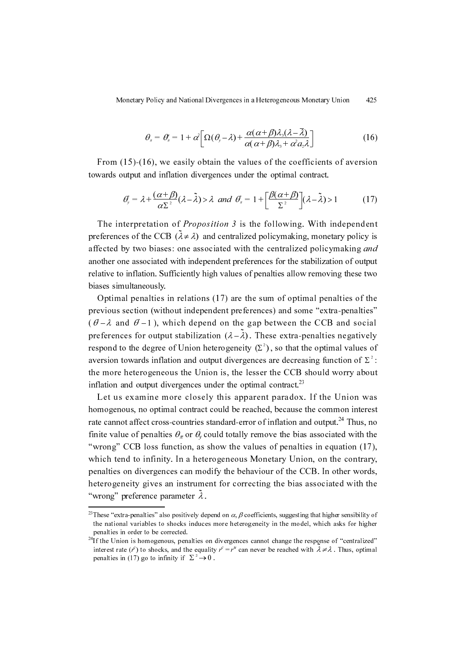$$
\theta_{\scriptscriptstyle{\pi}} = \theta_{\scriptscriptstyle{\pi}}^{\scriptscriptstyle{\pi}} = 1 + \alpha^2 \bigg[ \Omega(\theta_{\scriptscriptstyle{\gamma}} - \lambda) + \frac{\alpha(\alpha + \beta)\lambda_{\scriptscriptstyle{\beta}}(\lambda - \overline{\lambda})}{\alpha(\alpha + \beta)\lambda_{\scriptscriptstyle{\beta}} + \alpha^2 a_{\scriptscriptstyle{\beta}}\lambda} \bigg] \tag{16}
$$

From (15)-(16), we easily obtain the values of the coefficients of aversion towards output and inflation divergences under the optimal contract.

$$
\theta_{y} = \lambda + \frac{(\alpha + \beta)}{\alpha \Sigma^{2}} (\lambda - \tilde{\lambda}) > \lambda \ \ and \ \ \theta_{x} = 1 + \left[ \frac{\beta(\alpha + \beta)}{\Sigma^{2}} \right] (\lambda - \tilde{\lambda}) > 1 \tag{17}
$$

The interpretation of *Proposition 3* is the following. With independent preferences of the CCB  $(\lambda \neq \lambda)$  and centralized policymaking, monetary policy is affected by two biases: one associated with the centralized policymaking and another one associated with independent preferences for the stabilization of output relative to inflation. Sufficiently high values of penalties allow removing these two biases simultaneously.

Optimal penalties in relations (17) are the sum of optimal penalties of the previous section (without independent preferences) and some "extra-penalties"  $(\vec{\theta} - \lambda \text{ and } \vec{\theta} - 1)$ , which depend on the gap between the CCB and social preferences for output stabilization  $(\lambda - \lambda)$ . These extra-penalties negatively respond to the degree of Union heterogeneity  $(\Sigma^2)$ , so that the optimal values of aversion towards inflation and output divergences are decreasing function of  $\Sigma^2$ : the more heterogeneous the Union is, the lesser the CCB should worry about inflation and output divergences under the optimal contract.<sup>23</sup>  $(\lambda - \lambda)$ 

Let us examine more closely this apparent paradox. If the Union was homogenous, no optimal contract could be reached, because the common interest rate cannot affect cross-countries standard-error of inflation and output.<sup>24</sup> Thus, no finite value of penalties  $\theta_{\tau}$  or  $\theta_{\nu}$  could totally remove the bias associated with the "wrong" CCB loss function, as show the values of penalties in equation (17), which tend to infinity. In a heterogeneous Monetary Union, on the contrary, penalties on divergences can modify the behaviour of the CCB. In other words, heterogeneity gives an instrument for correcting the bias associated with the "wrong" preference parameter  $\lambda$ .

<sup>&</sup>lt;sup>23</sup>These "extra-penalties" also positively depend on  $\alpha$ ,  $\beta$  coefficients, suggesting that higher sensibility of the national variables to shocks induces more heterogeneity in the model, which asks for higher penalties in order to be corrected.

 $24$ If the Union is homogenous, penalties on divergences cannot change the response of "centralized" interest rate  $(r^c)$  to shocks, and the equality  $r^c = r^u$  can never be reached with  $\lambda \neq \lambda$ . Thus, optimal penalties in (17) go to infinity if  $\Sigma^2 \rightarrow 0$ penalties in (17) go to infinity if  $\Sigma^2 \rightarrow 0$ .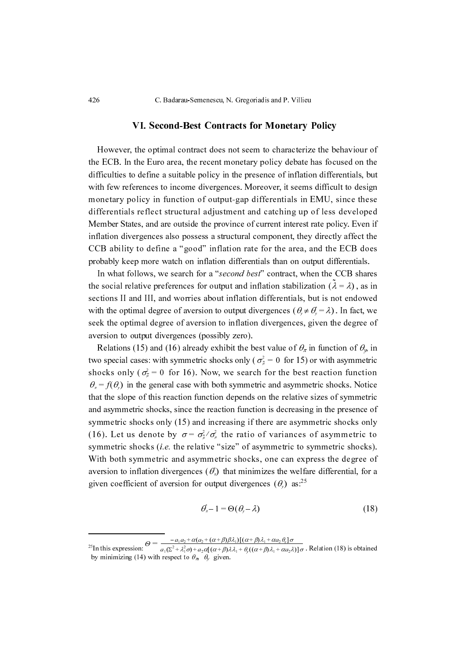426 C. Badarau-Semenescu, N. Gregoriadis and P. Villieu

#### VI. Second-Best Contracts for Monetary Policy

However, the optimal contract does not seem to characterize the behaviour of the ECB. In the Euro area, the recent monetary policy debate has focused on the difficulties to define a suitable policy in the presence of inflation differentials, but with few references to income divergences. Moreover, it seems difficult to design monetary policy in function of output-gap differentials in EMU, since these differentials reflect structural adjustment and catching up of less developed Member States, and are outside the province of current interest rate policy. Even if inflation divergences also possess a structural component, they directly affect the CCB ability to define a "good" inflation rate for the area, and the ECB does probably keep more watch on inflation differentials than on output differentials.

In what follows, we search for a "second best" contract, when the CCB shares the social relative preferences for output and inflation stabilization  $(\lambda = \lambda)$ , as in sections II and III, and worries about inflation differentials, but is not endowed with the optimal degree of aversion to output divergences  $(\theta_y \neq \theta_y = \lambda)$ . In fact, we which the optimal degree of aversion to output divergences  $(v_y + v_y - \lambda)$ . In fact, we seek the optimal degree of aversion to inflation divergences, given the degree of aversion to output divergences (possibly zero).

Relations (15) and (16) already exhibit the best value of  $\theta_{\pi}$  in function of  $\theta_{\mu}$  in two special cases: with symmetric shocks only ( $\sigma_{\overline{\mu}}^2 = 0$  for 15) or with asymmetric shocks only  $(\sigma_{\mu}^2 = 0 \text{ for } 16)$ . Now, we search for the best reaction function in the general case with both symmetric and asymmetric shocks. Notice that the slope of this reaction function depends on the relative sizes of symmetric and asymmetric shocks, since the reaction function is decreasing in the presence of symmetric shocks only (15) and increasing if there are asymmetric shocks only (16). Let us denote by  $\sigma = \sigma_{\mu}^2 / \sigma_{\mu}^2$  the ratio of variances of asymmetric to symmetric shocks (*i.e.* the relative "size" of asymmetric to symmetric shocks). With both symmetric and asymmetric shocks, one can express the degree of aversion to inflation divergences  $(\theta_{\pi})$  that minimizes the welfare differential, for a given coefficient of aversion for output divergences  $(\theta_y)$  as:<sup>25</sup>  $\sigma_{\overline{\mu}}$  $\theta_{\pi} = f(\theta_{y})$  $(v_{\pi})$  $(v_y)$ 

$$
\theta_{\pi}^{\prime} - 1 = \Theta(\theta_{\nu} - \lambda) \tag{18}
$$

<sup>&</sup>lt;sup>25</sup>In this expression:  $a_1(\Sigma^2 + \lambda_1^2 \sigma) + a_2 \alpha [(\alpha + \beta)\lambda\lambda_1 + \theta_1((\alpha + \beta)\lambda_1 + \alpha \sigma_2 \lambda)] \sigma$ . Relation (18) is obtained by minimizing (14) with respect to  $\theta_{\pi}$ ,  $\theta_{y}$  given.  $\Theta = \frac{a_1 a_2 + a_3 a_2 + (a + \beta)\beta\lambda_1 + (a + \beta)\lambda_1 + a a_2 b_3 + b_3}{a_1(\Sigma^2 + \lambda_1^2 \sigma) + a_2 a_1(\alpha + \beta)\lambda_1 + \theta_1((\alpha + \beta)\lambda_1 + \alpha a_2 \lambda))\sigma}$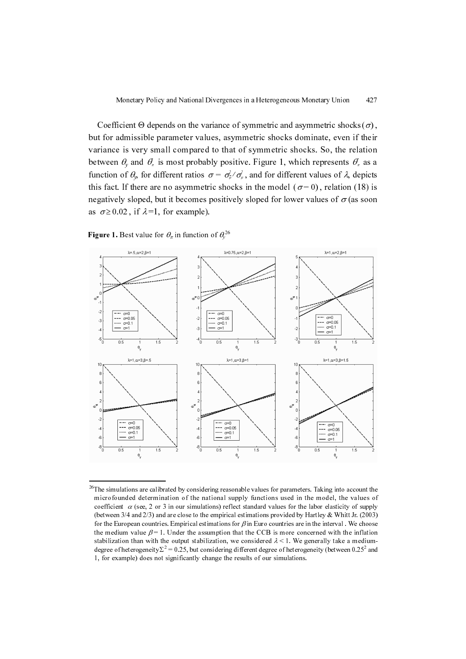Coefficient Θ depends on the variance of symmetric and asymmetric shocks  $(\sigma)$ , but for admissible parameter values, asymmetric shocks dominate, even if their variance is very small compared to that of symmetric shocks. So, the relation between  $\theta_{y}$  and  $\theta_{z}$  is most probably positive. Figure 1, which represents  $\theta_{z}^{*}$  as a function of  $\theta$ , for different ratios  $\sigma = \sigma_{\overline{\mu}}^2 / \sigma_{\mu}^2$ , and for different values of  $\lambda$ , depicts this fact. If there are no asymmetric shocks in the model ( $\sigma$ =0), relation (18) is negatively sloped, but it becomes positively sloped for lower values of  $\sigma$  (as soon as  $\sigma \ge 0.02$ , if  $\lambda = 1$ , for example).  $\begin{pmatrix} 0 & 0 \end{pmatrix}$ 

**Figure 1.** Best value for  $\theta_{\pi}$  in function of  $\theta_{\nu}^{26}$ 



<sup>&</sup>lt;sup>26</sup>The simulations are calibrated by considering reasonable values for parameters. Taking into account the microfounded determination of the national supply functions used in the model, the values of coefficient  $\alpha$  (see, 2 or 3 in our simulations) reflect standard values for the labor elasticity of supply (between 3/4 and 2/3) and are close to the empirical estimations provided by Hartley & Whitt Jr. (2003) for the European countries. Empirical estimations for  $\beta$  in Euro countries are in the interval. We choose the medium value  $\beta$  = 1. Under the assumption that the CCB is more concerned with the inflation stabilization than with the output stabilization, we considered  $\lambda < 1$ . We generally take a mediumdegree of heterogeneity  $\Sigma^2 = 0.25$ , but considering different degree of heterogeneity (between 0.25<sup>2</sup> and 1 for example) does not significantly change the results of our simulations 1, for example) does not significantly change the results of our simulations.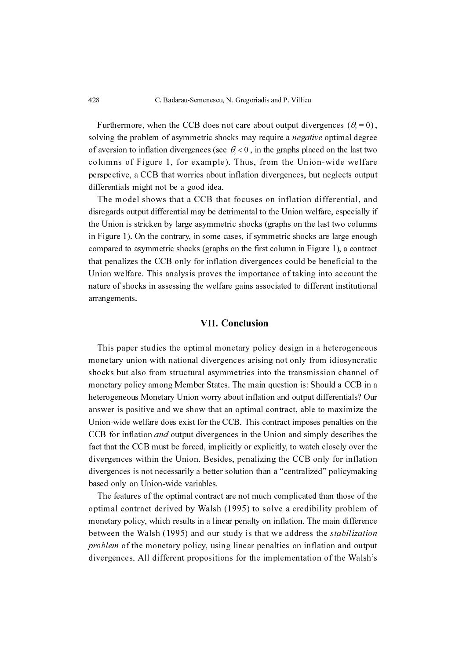428 C. Badarau-Semenescu, N. Gregoriadis and P. Villieu

Furthermore, when the CCB does not care about output divergences ( $\theta = 0$ ), Furthermore, when the CCB does not care about output divergences  $(\sigma_y - \sigma_y)$ , solving the problem of asymmetric shocks may require a *negative* optimal degree of aversion to inflation divergences (see  $\theta_y < 0$ , in the graphs placed on the last two  $\frac{1}{2}$  columns of Figure 1, for example). Thus, from the Union-wide welfare perspective, a CCB that worries about inflation divergences, but neglects output differentials might not be a good idea.

The model shows that a CCB that focuses on inflation differential, and disregards output differential may be detrimental to the Union welfare, especially if the Union is stricken by large asymmetric shocks (graphs on the last two columns in Figure 1). On the contrary, in some cases, if symmetric shocks are large enough compared to asymmetric shocks (graphs on the first column in Figure 1), a contract that penalizes the CCB only for inflation divergences could be beneficial to the Union welfare. This analysis proves the importance of taking into account the nature of shocks in assessing the welfare gains associated to different institutional arrangements.

### VII. Conclusion

This paper studies the optimal monetary policy design in a heterogeneous monetary union with national divergences arising not only from idiosyncratic shocks but also from structural asymmetries into the transmission channel of monetary policy among Member States. The main question is: Should a CCB in a heterogeneous Monetary Union worry about inflation and output differentials? Our answer is positive and we show that an optimal contract, able to maximize the Union-wide welfare does exist for the CCB. This contract imposes penalties on the CCB for inflation and output divergences in the Union and simply describes the fact that the CCB must be forced, implicitly or explicitly, to watch closely over the divergences within the Union. Besides, penalizing the CCB only for inflation divergences is not necessarily a better solution than a "centralized" policymaking based only on Union-wide variables.

The features of the optimal contract are not much complicated than those of the optimal contract derived by Walsh (1995) to solve a credibility problem of monetary policy, which results in a linear penalty on inflation. The main difference between the Walsh (1995) and our study is that we address the *stabilization* problem of the monetary policy, using linear penalties on inflation and output divergences. All different propositions for the implementation of the Walsh's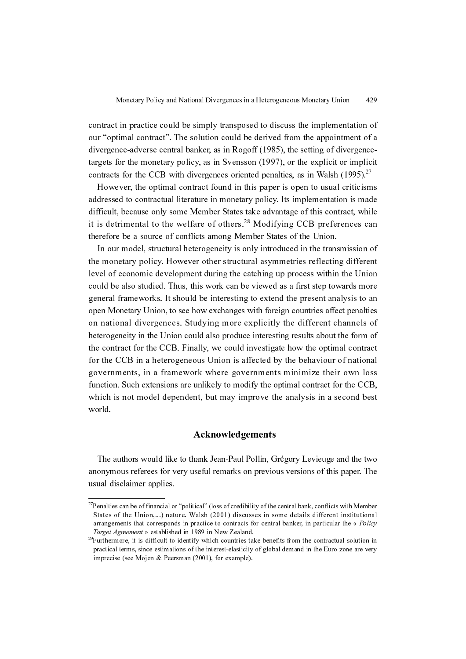contract in practice could be simply transposed to discuss the implementation of our "optimal contract". The solution could be derived from the appointment of a divergence-adverse central banker, as in Rogoff (1985), the setting of divergencetargets for the monetary policy, as in Svensson (1997), or the explicit or implicit contracts for the CCB with divergences oriented penalties, as in Walsh  $(1995)^{27}$ 

However, the optimal contract found in this paper is open to usual criticisms addressed to contractual literature in monetary policy. Its implementation is made difficult, because only some Member States take advantage of this contract, while it is detrimental to the welfare of others.<sup>28</sup> Modifying CCB preferences can therefore be a source of conflicts among Member States of the Union.

In our model, structural heterogeneity is only introduced in the transmission of the monetary policy. However other structural asymmetries reflecting different level of economic development during the catching up process within the Union could be also studied. Thus, this work can be viewed as a first step towards more general frameworks. It should be interesting to extend the present analysis to an open Monetary Union, to see how exchanges with foreign countries affect penalties on national divergences. Studying more explicitly the different channels of heterogeneity in the Union could also produce interesting results about the form of the contract for the CCB. Finally, we could investigate how the optimal contract for the CCB in a heterogeneous Union is affected by the behaviour of national governments, in a framework where governments minimize their own loss function. Such extensions are unlikely to modify the optimal contract for the CCB, which is not model dependent, but may improve the analysis in a second best world.

## Acknowledgements

The authors would like to thank Jean-Paul Pollin, Grégory Levieuge and the two anonymous referees for very useful remarks on previous versions of this paper. The usual disclaimer applies.

<sup>&</sup>lt;sup>27</sup>Penalties can be of financial or "political" (loss of credibility of the central bank, conflicts with Member States of the Union,...) nature. Walsh (2001) discusses in some details different institutional arrangements that corresponds in practice to contracts for central banker, in particular the « Policy Target Agreement » established in 1989 in New Zealand.

 $^{29}$ Furthermore, it is difficult to identify which countries take benefits from the contractual solution in practical terms, since estimations of the interest-elasticity of global demand in the Euro zone are very imprecise (see Mojon & Peersman (2001), for example).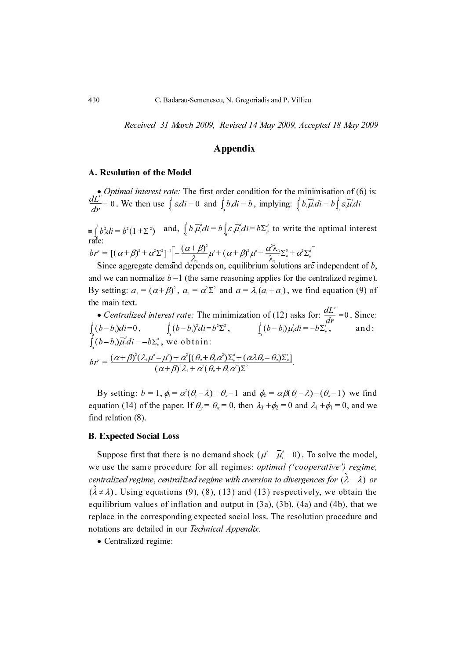Received 31 March 2009, Revised 14 May 2009, Accepted 18 May 2009

## Appendix

#### A. Resolution of the Model

• *Optimal interest rate:* The first order condition for the minimisation of (6) is:  $\frac{dL}{dt} = 0$ . We then use  $\int \varepsilon_i di = 0$  and  $\int b_i di = b$ , implying: and,  $\int b_i \mu_i^d di = b \int \varepsilon_i \mu_i^d di = b \sum_{\mu}^d$  to write the optimal interest rate:  $dr$   $\frac{1}{2}$   $\int_{0}^{1}$   $\frac{1}{2}$   $\int_{0}^{1}$   $\frac{1}{2}$   $\int_{0}^{1}$   $\int_{0}^{1}$   $\int_{0}^{1}$   $\int_{0}^{1}$   $\int_{0}^{1}$   $\int_{0}^{1}$   $\int_{0}^{1}$   $\int_{0}^{1}$   $\int_{0}^{1}$   $\int_{0}^{1}$  $\frac{dE}{dr} = 0$ . We then use  $\int_{0}^{\infty} \varepsilon_i di = 0$  and  $\int_{0}^{\infty} b_i di = b$ , implying:  $\int_{0}^{\infty} b_i \mu_i' di = b \int_{0}^{\infty} \varepsilon_i \mu_i' di$  $\begin{cases} \frac{1}{2} \int_0^1 b_i^2 di = b^2 (1 + \Sigma^2) \quad \text{and, } \int_0^1 b_i \mu_i^2 di = b \int_0^1 \varepsilon_i \mu_i^2 di = b \Sigma^2 \mu_i^2 \end{cases}$  $e^{(-1)^{n+1} + (-1)^n}$ i, ∫

Since aggregate demand depends on, equilibrium solutions are independent of  $b$ , and we can normalize  $b = 1$  (the same reasoning applies for the centralized regime). By setting:  $a_1 = (\alpha + \beta)^2$ ,  $a_2 = \alpha^2 \Sigma^2$  and  $a = \lambda_1(a_1 + a_2)$ , we find equation (9) of the main text.  $br'' = [(\alpha + \beta)^2 + \alpha^2 \Sigma^2]^{-1} \left[ -\frac{(\alpha + \beta)^2}{\lambda_1} \mu^3 + (\alpha + \beta)^2 \mu^4 + \frac{\alpha \lambda_3}{\lambda_1} \right]$ <br>Since aggregate demand depends on, equilibrium sol =  $[(\alpha + \beta)^2 + \alpha^2 \sum^2]$   $[-\frac{\alpha + \beta}{\lambda_1} \mu^2 + (\alpha + \beta)^2 \mu^2 + \frac{\alpha^2 \mu^2}{\lambda_1} \sum^2_{\mu} + \alpha^2 \sum^2_{\mu}$ <br>ince aggregate demand depends on, equilibrium solutions are

• Centralized interest rate: The minimization of (12) asks for:  $\frac{dE}{dr} = 0$ . Since:  $\int (b-b_i)^2 di = b^2 \Sigma^2$ ,  $\int (b-b_i)\mu_i di = -b\Sigma_\mu^3$ , and: , we obtain:  $\frac{dL}{l}$  $\int$ <sub>s</sub>dr<sup>--</sup>  $\int_{0}^{a} (b-b_i)di=0, \qquad \int_{0}^{a} (b-b_i)^2di=b^2\Sigma^2$  $\int_{0}^{b} (b - b_{i})^{2} di = b^{2} \Sigma^{2}$ ,  $\int_{0}^{b} (b - b_{i}) \mu_{i}^{2} di = -b \Sigma_{\mu}^{s}$ i. ∫  $\int_{0}^{\infty} (b-b_i) \mu_i^d di = -b \Sigma_{\mu}^d$ i, ∫  $\delta \rho^c = \frac{(\alpha+\beta)^2(\lambda_1\mu^c-\mu^c)+\alpha^c[(\theta_{\pi}+\theta_{\mu}\alpha^c)\Sigma_{\mu}^a+(\alpha\lambda\theta_{\nu}-\theta_{\pi})\Sigma_{\mu}^b]}{(\alpha+\beta)^2\lambda_1+\alpha^2(\theta_{\pi}+\theta_{\pi}\alpha^c)\Sigma_{\mu}^2}$  $\frac{1}{2} \left( \alpha + \beta \right)^2 \lambda_1 + \alpha^2 (\theta_{\pi} + \theta_{\gamma} \alpha^2) \Sigma^2$ 

By setting:  $b = 1$ ,  $\phi_1 = \alpha^2(\theta_2 - \lambda) + \theta_2 - 1$  and  $\phi_2 = \alpha \beta(\theta_2 - \lambda) - (\theta_2 - 1)$  we find equation (14) of the paper. If  $\theta_y = \theta_\pi = 0$ , then  $\lambda_3 + \phi_2 = 0$  and  $\lambda_1 + \phi_1 = 0$ , and we find relation (8).  $= 1$ ,  $\varphi_1 = \alpha (\nu_y - \nu_f) + \nu_z = 1$  and  $\varphi_2 = \alpha \rho (\nu_y - \nu_f) - (\nu_z - 1)$ 

### **B. Expected Social Loss**

Suppose first that there is no demand shock  $(\mu^d = \mu_i^d = 0)$ . To solve the model, suppose that there is no defining shock  $(\mu - \mu_i - \sigma)$ . To solve the model, we use the same procedure for all regimes: *optimal ('cooperative') regime*, centralized regime, centralized regime with aversion to divergences for  $(\lambda = \lambda)$  or<br>( $\lambda = \lambda$ ). Heina constitute (0) (8) (3) and (12) accordingly are alteria the  $(\lambda \neq \lambda)$ . Using equations (9), (8), (13) and (13) respectively, we obtain the equilibrium values of inflation and output in (3a), (3b), (4a) and (4b), that we replace in the corresponding expected social loss. The resolution procedure and notations are detailed in our Technical Appendix.

• Centralized regime: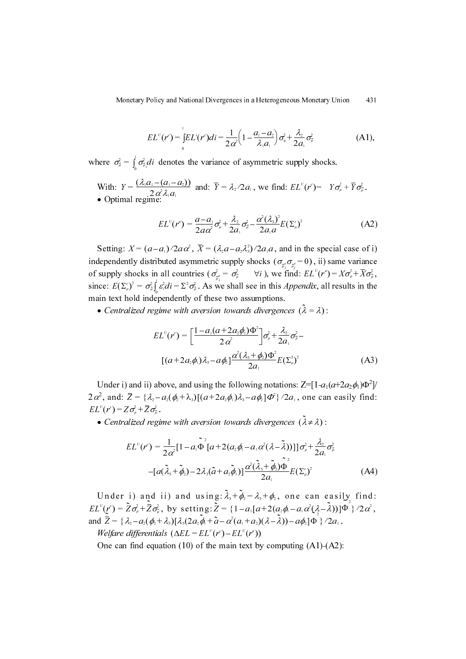Monetary Policy and National Divergences in a Heterogeneous Monetary Union 431

$$
EL^{U}(r^{c}) = \int_{0}^{1} EL^{i}(r^{c})di = \frac{1}{2 \alpha^{2}} \left(1 - \frac{a_{1} - a_{2}}{\lambda_{1} a_{1}}\right) \sigma_{\mu}^{2} + \frac{\lambda_{2}}{2 a_{1}} \sigma_{\mu}^{2}
$$
(A1),

where  $\sigma_{\overline{\mu}}^2 = \int_{0}^{\infty} \sigma_{\overline{\mu}_l}^2 di$  denotes the variance of asymmetric supply shocks. = ∫

With:  $Y = \frac{(\lambda_1 a_1 - (a_1 - a_2))}{2a_1^2 a_1^2}$  and:  $\overline{Y} = \lambda_2/2a_1$ , we find:  $EL^v(r^c) = Y\sigma_\mu^2 + Y\sigma_\mu^2$ . • Optimal regime:  $Y = \frac{( \lambda_1 a_1 - (a_1 - a_2))}{2 \alpha^2 \lambda_1 a_1}$  $\frac{2}{2} \frac{\partial^2 \lambda_i a_1}{\partial x_1}$  and:  $Y = \lambda_2 / 2a_1$ , we find:  $EL^{\circ}(r^{\circ}) = Y \sigma_{\mu}^{\circ} + Y \sigma_{\mu}^{\circ}$ <br>al regime:

$$
EL^{U}(r^{u}) = \frac{a - a_{1}}{2a\alpha^{2}}\sigma_{\mu}^{2} + \frac{\lambda_{2}}{2a_{1}}\sigma_{\mu}^{2} - \frac{\alpha^{2}(\lambda_{3})^{2}}{2a_{1}a}E(\Sigma_{\mu}^{s})^{2}
$$
(A2)

Setting:  $X = (a-a_1)/2a\alpha^2$ ,  $\overline{X} = (\lambda_2a - a_2\lambda_3^2)/2a_1a$ , and in the special case of i) independently distributed asymmetric supply shocks  $(\sigma_z, \sigma_z = 0)$ , ii) same variance of supply shocks in all countries ( $\sigma_{\overline{z}}^2 = \sigma_{\overline{\mu}}^2$   $\forall i$ ), we find:  $EL^{\nu}(r^*) = X\sigma_{\mu}^2 + \overline{X}\sigma_{\overline{\mu}}^2$ , since:  $E(\Sigma_{\mu}^s)^2 = \sigma_{\mu}^2 \int_0^s \varepsilon_s^2 di = \Sigma^2 \sigma_{\mu}^2$ . As we shall see in this *Appendix*, all results in the  $\frac{1}{\sqrt{2}}$  and  $\frac{1}{\sqrt{2}}$  and  $\frac{1}{\sqrt{2}}$  and  $\frac{1}{\sqrt{2}}$  are  $\frac{1}{\sqrt{2}}$  and  $\frac{1}{\sqrt{2}}$  are  $\frac{1}{\sqrt{2}}$  and  $\frac{1}{\sqrt{2}}$  are  $\frac{1}{\sqrt{2}}$  and  $\frac{1}{\sqrt{2}}$  are  $\frac{1}{\sqrt{2}}$  and  $\frac{1}{\sqrt{2}}$  are  $\frac{1}{\sqrt{2}}$  and  $\begin{pmatrix} 0 & 0 \\ \frac{\pi i}{\mu_i} & \frac{\pi i}{\mu_j} \\ \cdots & \cdots & \cdots \end{pmatrix}$  $\sigma_{\mu}^{z} = \sigma_{\mu}^{z}$   $\forall i$ , we find:  $EL^{c}(r^{n}) = X \sigma_{\mu}^{z} + X \sigma_{\mu}^{z}$ 

• Centralized regime with aversion towards divergences  $(\lambda = \lambda)$ :

$$
EL^{U}(r^{c}) = \left[\frac{1 - a_{1}(a + 2a_{2}\phi_{1})\Phi^{2}}{2\alpha^{2}}\right]\sigma_{\mu}^{2} + \frac{\lambda_{2}}{2a_{1}}\sigma_{\mu}^{2} - \left[(a + 2a_{2}\phi_{1})\lambda_{3} - a\phi_{2}\right]\frac{\alpha^{2}(\lambda_{3} + \phi_{2})\Phi^{2}}{2a_{1}}E(\Sigma_{\mu}^{3})^{2}
$$
(A3)

Under i) and ii) above, and using the following notations:  $Z = [1 - a_1(a + 2a_2\phi_1)\Phi^2]/$  $2\alpha^2$ , and:  $\overline{Z} = {\lambda_2 - a_2(\phi_2 + \lambda_3)[(a + 2a_2\phi_1)\lambda_3 - a\phi_2]\vec{\Phi}^2/2a_1}$ , one can easily find:  $EL^{U}(r^{s}) = Z\sigma_{\mu}^{2} + \overline{Z}\sigma_{\overline{\mu}}^{2}$ .  $\frac{(r)}{C} = Z\sigma_\mu + Z\sigma_\mu$ 

• Centralized regime with aversion towards divergences  $(\lambda \neq \lambda)$ :  $(\lambda \neq \lambda)$ 

$$
EL^{U}(r^{c}) = \frac{1}{2\alpha^{2}}[1 - a_{1}\tilde{\Phi}^{2}[a + 2(a_{2}\phi_{1} - a_{1}\alpha^{2}(\lambda - \tilde{\lambda}))]]\sigma_{\mu}^{2} + \frac{\lambda_{2}}{2a_{1}}\sigma_{\mu}^{2}
$$

$$
-[a(\tilde{\lambda}_{3} + \tilde{\phi}_{2}) - 2\lambda_{3}(\tilde{a} + a_{2}\tilde{\phi}_{1})]\frac{\alpha^{2}(\tilde{\lambda}_{3} + \tilde{\phi}_{2})\tilde{\Phi}^{2}}{2a_{1}}E(\Sigma_{\mu}^{s})^{2}
$$
(A4)

Under i) and ii) and using:  $\lambda_3 + \phi_2 = \lambda_3 + \phi_2$ , one can easily find: , by setting:  $Z = \{1 - a_1[a + 2(a_2\phi_1 - a_1\alpha^2(\lambda - \lambda))] \Phi\}/2\alpha^2$ , and  $\overline{Z} = {\lambda_2 - a_1(\phi_2 + \lambda_3)} \lambda_1(2a_2\overline{\phi}_1 + \overline{a} - \alpha^2(a_1 + a_2)(\lambda - \overline{\lambda})) - a\phi_2]\Phi_3^{\prime\prime}(2a_1\overline{\phi}_1 + \overline{a} - \alpha^2(a_1 + a_2)(\lambda - \overline{\lambda})) - a\phi_2]\Phi_3^{\prime\prime}(2a_1\overline{\phi}_1 + \overline{a} - \alpha^2(a_1 + a_2)(\lambda - \overline{\lambda}))$  $\lambda_3 + \varphi_2 = \lambda_3 + \varphi_2$  $EL^{U}(r^{c}) = \tilde{Z}\sigma_{\mu}^{2} + \overline{Z}\sigma_{\overline{\mu}}^{2}$ , by setting:  $\tilde{Z} = \{1 - a_{1}[a + 2(a_{2}\phi_{1} - a_{1}\alpha^{2}(\lambda - \tilde{\lambda}))]\Phi\}^{2}$  $\overline{Z} = \{ \lambda_2 - a_2(\phi_2 + \lambda_3) [\lambda_3(2a_2\overline{\phi}_1 + \widetilde{a} - \alpha^2(a_1 + a_2)(\lambda - \widetilde{\lambda})) - a\phi_2] \Phi \} / 2a_1$ 

Welfare differentials  $(\Delta EL = EL^{\nu}(r^{\nu}) - EL^{\nu}(r^{\nu}))$ 

One can find equation (10) of the main text by computing (A1)-(A2):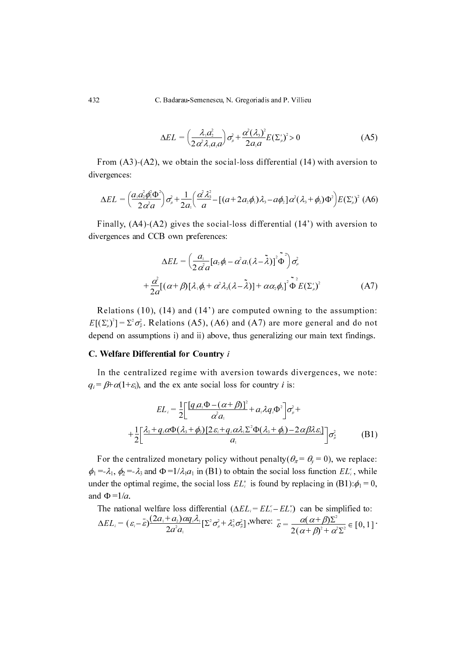432 C. Badarau-Semenescu, N. Gregoriadis and P. Villieu

$$
\Delta EL = \left(\frac{\lambda_1 a_2^2}{2 \alpha^2 \lambda_1 a_1 a}\right) \sigma_\mu^2 + \frac{\alpha^2 (\lambda_3)^2}{2 a_1 a} E(\Sigma_\mu^2)^2 > 0 \tag{A5}
$$

From (A3)-(A2), we obtain the social-loss differential (14) with aversion to divergences:

$$
\Delta EL = \left(\frac{a_1 a_2^2 \phi_1^2 \Phi^2}{2 \alpha^2 a}\right) \sigma_\mu^2 + \frac{1}{2 a_1} \left(\frac{\alpha^2 \lambda_3^2}{a} - \left[(a + 2 a_2 \phi_1) \lambda_3 - a \phi_2\right] \alpha^2 (\lambda_3 + \phi_2) \Phi^2\right) E(\Sigma_\mu^*)^2
$$
 (A6)

Finally, (A4)-(A2) gives the social-loss differential (14') with aversion to divergences and CCB own preferences:

$$
\Delta EL = \left(\frac{a_1}{2\alpha^2 a} [a_2 \phi_1 - \alpha^2 a_1 (\lambda - \tilde{\lambda})]^2 \tilde{\Phi}^2\right) \sigma_\mu^2
$$
  
+ 
$$
\frac{\alpha^2}{2a} [(\alpha + \beta) [\lambda_1 \phi_2 + \alpha^2 \lambda_3 (\lambda - \tilde{\lambda})] + \alpha \alpha_2 \phi_3]^2 \tilde{\Phi}^2 E(\Sigma_\mu^2)
$$
(A7)

Relations (10), (14) and (14') are computed owning to the assumption:  $E[(\Sigma_{\mu}^{s})^2] = \Sigma^2 \sigma_{\mu}^2$ . Relations (A5), (A6) and (A7) are more general and do not depend on assumptions i) and ii) above, thus generalizing our main text findings. 432 C. Badarau-Semenescu, N<br>  $\Delta EL = \left(\frac{\lambda_i a_i^2}{2 \alpha^2 \lambda_i a_i a'}\right)$ <br>
From (A3)-(A2), we obtain the soci<br>
divergences:<br>  $\Delta EL = \left(\frac{a_i a_i^2 \phi(\Phi^*)}{2 \alpha^2 a}\right) \sigma_x^2 + \frac{1}{2a_i} \left(\frac{\alpha^2 \lambda_i^2}{a} - \left[(a \text{ Finally}, (A4)-(A2) \text{ gives the social divergences and CCB own preferences:}\n
$$
\Delta EL = \
$$$ 

#### C. Welfare Differential for Country i

In the centralized regime with aversion towards divergences, we note:  $q_i = \beta + \alpha(1+\varepsilon_i)$ , and the ex ante social loss for country *i* is:

$$
EL_i = \frac{1}{2} \left[ \frac{\left[ q_i a_1 \Phi - (\alpha + \beta) \right]^2}{\alpha^2 a_1} + a_1 \lambda q_i \Phi^2 \right] \sigma_\mu^2 +
$$

$$
+ \frac{1}{2} \left[ \frac{\lambda_2 + q_i \alpha \Phi(\lambda_3 + \phi_2) \left[ 2\varepsilon_i + q_i \alpha \lambda_1 \Sigma^2 \Phi(\lambda_3 + \phi_2) - 2 \alpha \beta \lambda \varepsilon_i \right]}{a_1} \right] \sigma_\mu^2 \tag{B1}
$$

For the centralized monetary policy without penalty( $\theta_{\pi} = \theta_{\nu} = 0$ ), we replace:  $\phi_1 = \lambda_1$ ,  $\phi_2 = \lambda_3$  and  $\Phi = 1/\lambda_1 a_1$  in (B1) to obtain the social loss function  $EL_i^c$ , while under the optimal regime, the social loss  $EL_i^*$  is found by replacing in (B1):  $\phi_1 = 0$ , and  $\Phi = 1/a$ .

The national welfare loss differential 
$$
(\Delta EL_i = EL_i^c - EL_i^a)
$$
 can be simplified to:  
\n
$$
\Delta EL_i = (\varepsilon_i - \overline{\varepsilon}) \frac{(2a_1 + a_2)\alpha q_i \lambda_i}{2a^2 a_1} [\Sigma^2 \sigma_\mu^2 + \lambda_3^2 \sigma_\mu^2],
$$
\nwhere:  $\overline{\varepsilon} = \frac{\alpha(\alpha + \beta)\Sigma^2}{2(\alpha + \beta)^2 + \alpha^2 \Sigma^2} \in [0, 1]$ .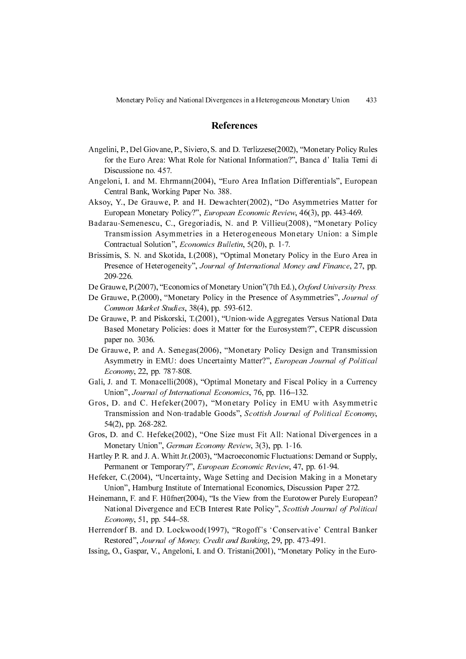#### References

- Angelini, P., Del Giovane, P., Siviero, S. and D. Terlizzese(2002), "Monetary Policy Rules for the Euro Area: What Role for National Information?", Banca d' Italia Temi di Discussione no. 457.
- Angeloni, I. and M. Ehrmann(2004), "Euro Area Inflation Differentials", European Central Bank, Working Paper No. 388.
- Aksoy, Y., De Grauwe, P. and H. Dewachter(2002), "Do Asymmetries Matter for European Monetary Policy?", European Economic Review, 46(3), pp. 443-469.
- Badarau-Semenescu, C., Gregoriadis, N. and P. Villieu(2008), "Monetary Policy Transmission Asymmetries in a Heterogeneous Monetary Union: a Simple Contractual Solution", Economics Bulletin, 5(20), p. 1-7.
- Brissimis, S. N. and Skotida, I.(2008), "Optimal Monetary Policy in the Euro Area in Presence of Heterogeneity", Journal of International Money and Finance, 27, pp. 209-226.
- De Grauwe, P.(2007), "Economics of Monetary Union" (7th Ed.), Oxford University Press.
- De Grauwe, P.(2000), "Monetary Policy in the Presence of Asymmetries", Journal of Common Market Studies, 38(4), pp. 593-612.
- De Grauwe, P. and Piskorski, T.(2001), "Union-wide Aggregates Versus National Data Based Monetary Policies: does it Matter for the Eurosystem?", CEPR discussion paper no. 3036.
- De Grauwe, P. and A. Senegas(2006), "Monetary Policy Design and Transmission Asymmetry in EMU: does Uncertainty Matter?", European Journal of Political Economy, 22, pp. 787-808.
- Gali, J. and T. Monacelli(2008), "Optimal Monetary and Fiscal Policy in a Currency Union", Journal of International Economics, 76, pp. 116–132.
- Gros, D. and C. Hefeker(2007), "Monetary Policy in EMU with Asymmetric Transmission and Non-tradable Goods", Scottish Journal of Political Economy, 54(2), pp. 268-282.
- Gros, D. and C. Hefeke(2002), "One Size must Fit All: National Divergences in a Monetary Union", German Economy Review, 3(3), pp. 1-16.
- Hartley P. R. and J. A. Whitt Jr.(2003), "Macroeconomic Fluctuations: Demand or Supply, Permanent or Temporary?", European Economic Review, 47, pp. 61-94.
- Hefeker, C.(2004), "Uncertainty, Wage Setting and Decision Making in a Monetary Union", Hamburg Institute of International Economics, Discussion Paper 272.
- Heinemann, F. and F. Hüfner(2004), "Is the View from the Eurotower Purely European? National Divergence and ECB Interest Rate Policy", Scottish Journal of Political Economy, 51, pp. 544–58.
- Herrendorf B. and D. Lockwood(1997), "Rogoff's 'Conservative' Central Banker Restored", Journal of Money, Credit and Banking, 29, pp. 473-491.
- Issing, O., Gaspar, V., Angeloni, I. and O. Tristani(2001), "Monetary Policy in the Euro-